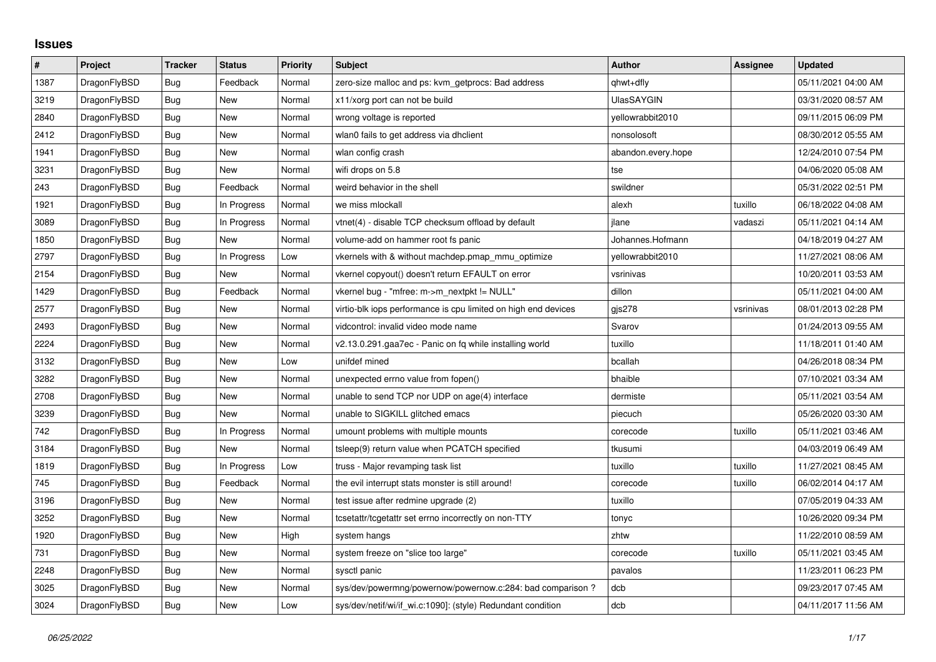## **Issues**

| $\sharp$ | Project      | <b>Tracker</b> | <b>Status</b> | <b>Priority</b> | <b>Subject</b>                                                 | <b>Author</b>      | Assignee  | <b>Updated</b>      |
|----------|--------------|----------------|---------------|-----------------|----------------------------------------------------------------|--------------------|-----------|---------------------|
| 1387     | DragonFlyBSD | Bug            | Feedback      | Normal          | zero-size malloc and ps: kvm getprocs: Bad address             | qhwt+dfly          |           | 05/11/2021 04:00 AM |
| 3219     | DragonFlyBSD | <b>Bug</b>     | New           | Normal          | x11/xorg port can not be build                                 | <b>UlasSAYGIN</b>  |           | 03/31/2020 08:57 AM |
| 2840     | DragonFlyBSD | Bug            | New           | Normal          | wrong voltage is reported                                      | vellowrabbit2010   |           | 09/11/2015 06:09 PM |
| 2412     | DragonFlyBSD | <b>Bug</b>     | New           | Normal          | wlan0 fails to get address via dhclient                        | nonsolosoft        |           | 08/30/2012 05:55 AM |
| 1941     | DragonFlyBSD | Bug            | New           | Normal          | wlan config crash                                              | abandon.every.hope |           | 12/24/2010 07:54 PM |
| 3231     | DragonFlyBSD | Bug            | New           | Normal          | wifi drops on 5.8                                              | tse                |           | 04/06/2020 05:08 AM |
| 243      | DragonFlyBSD | Bug            | Feedback      | Normal          | weird behavior in the shell                                    | swildner           |           | 05/31/2022 02:51 PM |
| 1921     | DragonFlyBSD | <b>Bug</b>     | In Progress   | Normal          | we miss mlockall                                               | alexh              | tuxillo   | 06/18/2022 04:08 AM |
| 3089     | DragonFlyBSD | Bug            | In Progress   | Normal          | vtnet(4) - disable TCP checksum offload by default             | jlane              | vadaszi   | 05/11/2021 04:14 AM |
| 1850     | DragonFlyBSD | <b>Bug</b>     | New           | Normal          | volume-add on hammer root fs panic                             | Johannes.Hofmann   |           | 04/18/2019 04:27 AM |
| 2797     | DragonFlyBSD | Bug            | In Progress   | Low             | vkernels with & without machdep.pmap_mmu_optimize              | yellowrabbit2010   |           | 11/27/2021 08:06 AM |
| 2154     | DragonFlyBSD | <b>Bug</b>     | New           | Normal          | vkernel copyout() doesn't return EFAULT on error               | vsrinivas          |           | 10/20/2011 03:53 AM |
| 1429     | DragonFlyBSD | <b>Bug</b>     | Feedback      | Normal          | vkernel bug - "mfree: m->m_nextpkt != NULL"                    | dillon             |           | 05/11/2021 04:00 AM |
| 2577     | DragonFlyBSD | Bug            | New           | Normal          | virtio-blk iops performance is cpu limited on high end devices | gjs278             | vsrinivas | 08/01/2013 02:28 PM |
| 2493     | DragonFlyBSD | Bug            | New           | Normal          | vidcontrol: invalid video mode name                            | Svarov             |           | 01/24/2013 09:55 AM |
| 2224     | DragonFlyBSD | Bug            | New           | Normal          | v2.13.0.291.gaa7ec - Panic on fq while installing world        | tuxillo            |           | 11/18/2011 01:40 AM |
| 3132     | DragonFlyBSD | Bug            | New           | Low             | unifdef mined                                                  | bcallah            |           | 04/26/2018 08:34 PM |
| 3282     | DragonFlyBSD | Bug            | New           | Normal          | unexpected errno value from fopen()                            | bhaible            |           | 07/10/2021 03:34 AM |
| 2708     | DragonFlyBSD | Bug            | New           | Normal          | unable to send TCP nor UDP on age(4) interface                 | dermiste           |           | 05/11/2021 03:54 AM |
| 3239     | DragonFlyBSD | <b>Bug</b>     | New           | Normal          | unable to SIGKILL glitched emacs                               | piecuch            |           | 05/26/2020 03:30 AM |
| 742      | DragonFlyBSD | Bug            | In Progress   | Normal          | umount problems with multiple mounts                           | corecode           | tuxillo   | 05/11/2021 03:46 AM |
| 3184     | DragonFlyBSD | <b>Bug</b>     | New           | Normal          | tsleep(9) return value when PCATCH specified                   | tkusumi            |           | 04/03/2019 06:49 AM |
| 1819     | DragonFlyBSD | Bug            | In Progress   | Low             | truss - Major revamping task list                              | tuxillo            | tuxillo   | 11/27/2021 08:45 AM |
| 745      | DragonFlyBSD | Bug            | Feedback      | Normal          | the evil interrupt stats monster is still around!              | corecode           | tuxillo   | 06/02/2014 04:17 AM |
| 3196     | DragonFlyBSD | <b>Bug</b>     | New           | Normal          | test issue after redmine upgrade (2)                           | tuxillo            |           | 07/05/2019 04:33 AM |
| 3252     | DragonFlyBSD | Bug            | New           | Normal          | tcsetattr/tcgetattr set errno incorrectly on non-TTY           | tonyc              |           | 10/26/2020 09:34 PM |
| 1920     | DragonFlyBSD | Bug            | New           | High            | system hangs                                                   | zhtw               |           | 11/22/2010 08:59 AM |
| 731      | DragonFlyBSD | <b>Bug</b>     | New           | Normal          | system freeze on "slice too large"                             | corecode           | tuxillo   | 05/11/2021 03:45 AM |
| 2248     | DragonFlyBSD | Bug            | New           | Normal          | sysctl panic                                                   | pavalos            |           | 11/23/2011 06:23 PM |
| 3025     | DragonFlyBSD | Bug            | New           | Normal          | sys/dev/powermng/powernow/powernow.c:284: bad comparison?      | dcb                |           | 09/23/2017 07:45 AM |
| 3024     | DragonFlyBSD | <b>Bug</b>     | New           | Low             | sys/dev/netif/wi/if_wi.c:1090]: (style) Redundant condition    | dcb                |           | 04/11/2017 11:56 AM |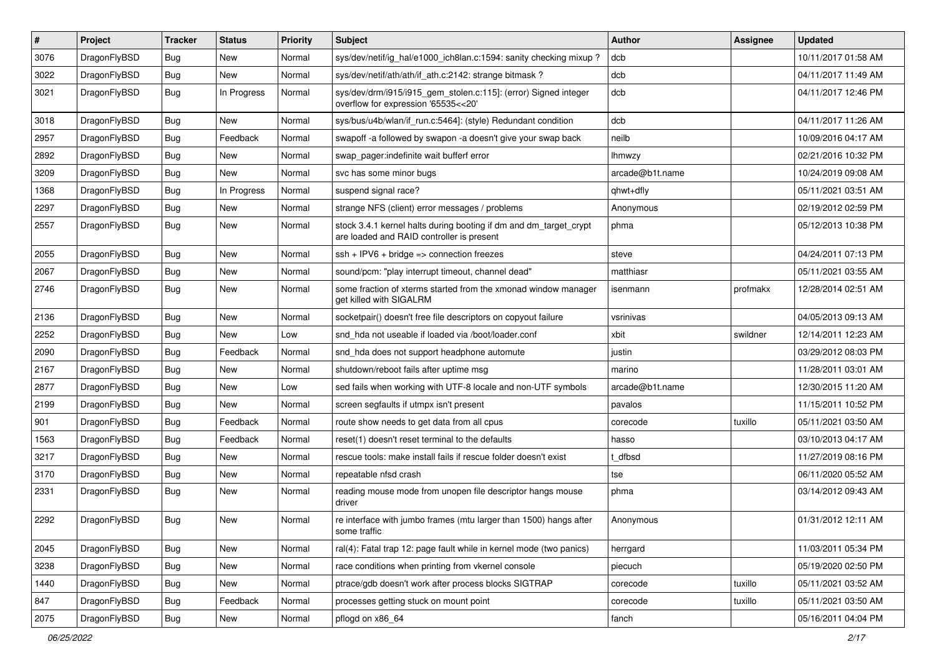| $\pmb{\#}$ | Project      | <b>Tracker</b> | <b>Status</b> | <b>Priority</b> | Subject                                                                                                        | <b>Author</b>   | <b>Assignee</b> | <b>Updated</b>      |
|------------|--------------|----------------|---------------|-----------------|----------------------------------------------------------------------------------------------------------------|-----------------|-----------------|---------------------|
| 3076       | DragonFlyBSD | Bug            | New           | Normal          | sys/dev/netif/ig_hal/e1000_ich8lan.c:1594: sanity checking mixup?                                              | dcb             |                 | 10/11/2017 01:58 AM |
| 3022       | DragonFlyBSD | Bug            | <b>New</b>    | Normal          | sys/dev/netif/ath/ath/if_ath.c:2142: strange bitmask?                                                          | dcb             |                 | 04/11/2017 11:49 AM |
| 3021       | DragonFlyBSD | Bug            | In Progress   | Normal          | sys/dev/drm/i915/i915_gem_stolen.c:115]: (error) Signed integer<br>overflow for expression '65535<<20'         | dcb             |                 | 04/11/2017 12:46 PM |
| 3018       | DragonFlyBSD | Bug            | <b>New</b>    | Normal          | sys/bus/u4b/wlan/if_run.c:5464]: (style) Redundant condition                                                   | dcb             |                 | 04/11/2017 11:26 AM |
| 2957       | DragonFlyBSD | Bug            | Feedback      | Normal          | swapoff -a followed by swapon -a doesn't give your swap back                                                   | neilb           |                 | 10/09/2016 04:17 AM |
| 2892       | DragonFlyBSD | Bug            | <b>New</b>    | Normal          | swap pager:indefinite wait bufferf error                                                                       | <b>Ihmwzy</b>   |                 | 02/21/2016 10:32 PM |
| 3209       | DragonFlyBSD | Bug            | <b>New</b>    | Normal          | svc has some minor bugs                                                                                        | arcade@b1t.name |                 | 10/24/2019 09:08 AM |
| 1368       | DragonFlyBSD | Bug            | In Progress   | Normal          | suspend signal race?                                                                                           | qhwt+dfly       |                 | 05/11/2021 03:51 AM |
| 2297       | DragonFlyBSD | Bug            | <b>New</b>    | Normal          | strange NFS (client) error messages / problems                                                                 | Anonymous       |                 | 02/19/2012 02:59 PM |
| 2557       | DragonFlyBSD | Bug            | New           | Normal          | stock 3.4.1 kernel halts during booting if dm and dm_target_crypt<br>are loaded and RAID controller is present | phma            |                 | 05/12/2013 10:38 PM |
| 2055       | DragonFlyBSD | Bug            | <b>New</b>    | Normal          | ssh + IPV6 + bridge => connection freezes                                                                      | steve           |                 | 04/24/2011 07:13 PM |
| 2067       | DragonFlyBSD | Bug            | New           | Normal          | sound/pcm: "play interrupt timeout, channel dead"                                                              | matthiasr       |                 | 05/11/2021 03:55 AM |
| 2746       | DragonFlyBSD | Bug            | New           | Normal          | some fraction of xterms started from the xmonad window manager<br>get killed with SIGALRM                      | isenmann        | profmakx        | 12/28/2014 02:51 AM |
| 2136       | DragonFlyBSD | Bug            | <b>New</b>    | Normal          | socketpair() doesn't free file descriptors on copyout failure                                                  | vsrinivas       |                 | 04/05/2013 09:13 AM |
| 2252       | DragonFlyBSD | Bug            | New           | Low             | snd_hda not useable if loaded via /boot/loader.conf                                                            | xbit            | swildner        | 12/14/2011 12:23 AM |
| 2090       | DragonFlyBSD | Bug            | Feedback      | Normal          | snd_hda does not support headphone automute                                                                    | justin          |                 | 03/29/2012 08:03 PM |
| 2167       | DragonFlyBSD | <b>Bug</b>     | <b>New</b>    | Normal          | shutdown/reboot fails after uptime msg                                                                         | marino          |                 | 11/28/2011 03:01 AM |
| 2877       | DragonFlyBSD | Bug            | <b>New</b>    | Low             | sed fails when working with UTF-8 locale and non-UTF symbols                                                   | arcade@b1t.name |                 | 12/30/2015 11:20 AM |
| 2199       | DragonFlyBSD | Bug            | New           | Normal          | screen segfaults if utmpx isn't present                                                                        | pavalos         |                 | 11/15/2011 10:52 PM |
| 901        | DragonFlyBSD | Bug            | Feedback      | Normal          | route show needs to get data from all cpus                                                                     | corecode        | tuxillo         | 05/11/2021 03:50 AM |
| 1563       | DragonFlyBSD | Bug            | Feedback      | Normal          | reset(1) doesn't reset terminal to the defaults                                                                | hasso           |                 | 03/10/2013 04:17 AM |
| 3217       | DragonFlyBSD | Bug            | <b>New</b>    | Normal          | rescue tools: make install fails if rescue folder doesn't exist                                                | t dfbsd         |                 | 11/27/2019 08:16 PM |
| 3170       | DragonFlyBSD | Bug            | <b>New</b>    | Normal          | repeatable nfsd crash                                                                                          | tse             |                 | 06/11/2020 05:52 AM |
| 2331       | DragonFlyBSD | Bug            | New           | Normal          | reading mouse mode from unopen file descriptor hangs mouse<br>driver                                           | phma            |                 | 03/14/2012 09:43 AM |
| 2292       | DragonFlyBSD | Bug            | New           | Normal          | re interface with jumbo frames (mtu larger than 1500) hangs after<br>some traffic                              | Anonymous       |                 | 01/31/2012 12:11 AM |
| 2045       | DragonFlyBSD | Bug            | <b>New</b>    | Normal          | ral(4): Fatal trap 12: page fault while in kernel mode (two panics)                                            | herrgard        |                 | 11/03/2011 05:34 PM |
| 3238       | DragonFlyBSD | Bug            | New           | Normal          | race conditions when printing from vkernel console                                                             | piecuch         |                 | 05/19/2020 02:50 PM |
| 1440       | DragonFlyBSD | <b>Bug</b>     | <b>New</b>    | Normal          | ptrace/gdb doesn't work after process blocks SIGTRAP                                                           | corecode        | tuxillo         | 05/11/2021 03:52 AM |
| 847        | DragonFlyBSD | <b>Bug</b>     | Feedback      | Normal          | processes getting stuck on mount point                                                                         | corecode        | tuxillo         | 05/11/2021 03:50 AM |
| 2075       | DragonFlyBSD | <b>Bug</b>     | New           | Normal          | pflogd on x86_64                                                                                               | fanch           |                 | 05/16/2011 04:04 PM |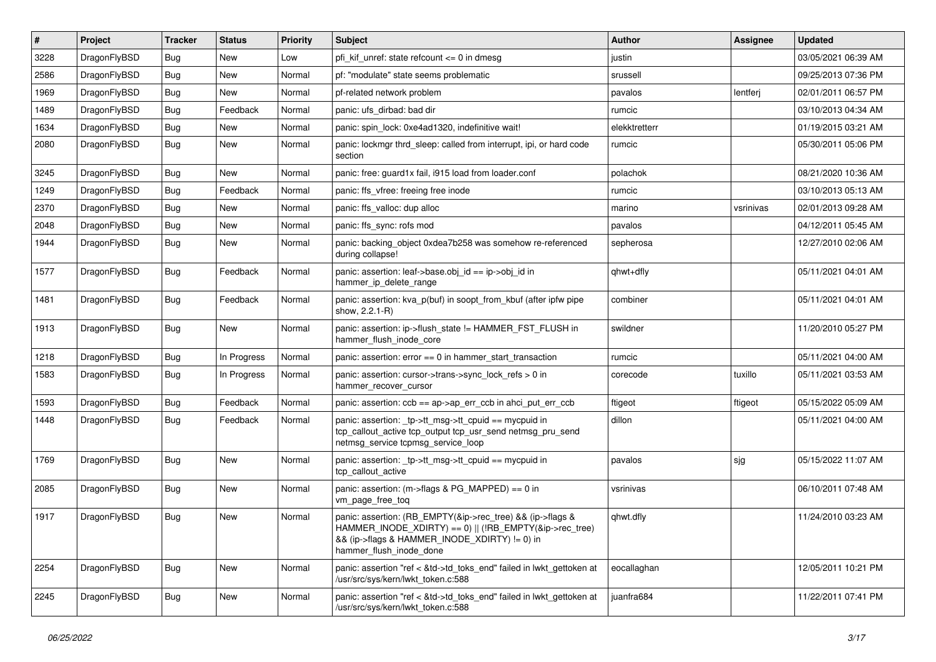| $\vert$ # | Project      | <b>Tracker</b> | <b>Status</b> | <b>Priority</b> | Subject                                                                                                                                                                                           | <b>Author</b> | <b>Assignee</b> | <b>Updated</b>      |
|-----------|--------------|----------------|---------------|-----------------|---------------------------------------------------------------------------------------------------------------------------------------------------------------------------------------------------|---------------|-----------------|---------------------|
| 3228      | DragonFlyBSD | Bug            | <b>New</b>    | Low             | pfi kif unref: state refcount $\leq$ 0 in dmesg                                                                                                                                                   | justin        |                 | 03/05/2021 06:39 AM |
| 2586      | DragonFlyBSD | Bug            | New           | Normal          | pf: "modulate" state seems problematic                                                                                                                                                            | srussell      |                 | 09/25/2013 07:36 PM |
| 1969      | DragonFlyBSD | Bug            | New           | Normal          | pf-related network problem                                                                                                                                                                        | pavalos       | lentferj        | 02/01/2011 06:57 PM |
| 1489      | DragonFlyBSD | Bug            | Feedback      | Normal          | panic: ufs dirbad: bad dir                                                                                                                                                                        | rumcic        |                 | 03/10/2013 04:34 AM |
| 1634      | DragonFlyBSD | Bug            | <b>New</b>    | Normal          | panic: spin lock: 0xe4ad1320, indefinitive wait!                                                                                                                                                  | elekktretterr |                 | 01/19/2015 03:21 AM |
| 2080      | DragonFlyBSD | Bug            | New           | Normal          | panic: lockmgr thrd sleep: called from interrupt, ipi, or hard code<br>section                                                                                                                    | rumcic        |                 | 05/30/2011 05:06 PM |
| 3245      | DragonFlyBSD | Bug            | New           | Normal          | panic: free: guard1x fail, i915 load from loader.conf                                                                                                                                             | polachok      |                 | 08/21/2020 10:36 AM |
| 1249      | DragonFlyBSD | <b>Bug</b>     | Feedback      | Normal          | panic: ffs vfree: freeing free inode                                                                                                                                                              | rumcic        |                 | 03/10/2013 05:13 AM |
| 2370      | DragonFlyBSD | Bug            | <b>New</b>    | Normal          | panic: ffs valloc: dup alloc                                                                                                                                                                      | marino        | vsrinivas       | 02/01/2013 09:28 AM |
| 2048      | DragonFlyBSD | Bug            | New           | Normal          | panic: ffs sync: rofs mod                                                                                                                                                                         | pavalos       |                 | 04/12/2011 05:45 AM |
| 1944      | DragonFlyBSD | Bug            | New           | Normal          | panic: backing_object 0xdea7b258 was somehow re-referenced<br>during collapse!                                                                                                                    | sepherosa     |                 | 12/27/2010 02:06 AM |
| 1577      | DragonFlyBSD | Bug            | Feedback      | Normal          | panic: assertion: leaf->base.obj_id == ip->obj_id in<br>hammer_ip_delete_range                                                                                                                    | qhwt+dfly     |                 | 05/11/2021 04:01 AM |
| 1481      | DragonFlyBSD | Bug            | Feedback      | Normal          | panic: assertion: kva_p(buf) in soopt_from_kbuf (after ipfw pipe<br>show, 2.2.1-R)                                                                                                                | combiner      |                 | 05/11/2021 04:01 AM |
| 1913      | DragonFlyBSD | Bug            | New           | Normal          | panic: assertion: ip->flush_state != HAMMER_FST_FLUSH in<br>hammer_flush_inode_core                                                                                                               | swildner      |                 | 11/20/2010 05:27 PM |
| 1218      | DragonFlyBSD | Bug            | In Progress   | Normal          | panic: assertion: $error == 0$ in hammer start transaction                                                                                                                                        | rumcic        |                 | 05/11/2021 04:00 AM |
| 1583      | DragonFlyBSD | Bug            | In Progress   | Normal          | panic: assertion: cursor->trans->sync_lock_refs > 0 in<br>hammer_recover_cursor                                                                                                                   | corecode      | tuxillo         | 05/11/2021 03:53 AM |
| 1593      | DragonFlyBSD | Bug            | Feedback      | Normal          | panic: assertion: $ccb == ap$ ap- $\geq$ err $ccb$ in ahci put err $ccb$                                                                                                                          | ftigeot       | ftigeot         | 05/15/2022 05:09 AM |
| 1448      | DragonFlyBSD | Bug            | Feedback      | Normal          | panic: assertion: _tp->tt_msg->tt_cpuid == mycpuid in<br>tcp_callout_active tcp_output tcp_usr_send netmsg_pru_send<br>netmsg_service tcpmsg_service_loop                                         | dillon        |                 | 05/11/2021 04:00 AM |
| 1769      | DragonFlyBSD | Bug            | New           | Normal          | panic: assertion: _tp->tt_msg->tt_cpuid == mycpuid in<br>tcp callout active                                                                                                                       | pavalos       | sjg             | 05/15/2022 11:07 AM |
| 2085      | DragonFlyBSD | Bug            | New           | Normal          | panic: assertion: (m->flags & PG_MAPPED) == 0 in<br>vm_page_free_toq                                                                                                                              | vsrinivas     |                 | 06/10/2011 07:48 AM |
| 1917      | DragonFlyBSD | Bug            | New           | Normal          | panic: assertion: (RB_EMPTY(&ip->rec_tree) && (ip->flags &<br>HAMMER_INODE_XDIRTY) == 0)    (!RB_EMPTY(&ip->rec_tree)<br>&& (ip->flags & HAMMER_INODE_XDIRTY) != 0) in<br>hammer_flush_inode_done | qhwt.dfly     |                 | 11/24/2010 03:23 AM |
| 2254      | DragonFlyBSD | Bug            | New           | Normal          | panic: assertion "ref < &td->td_toks_end" failed in lwkt_gettoken at<br>/usr/src/sys/kern/lwkt_token.c:588                                                                                        | eocallaghan   |                 | 12/05/2011 10:21 PM |
| 2245      | DragonFlyBSD | Bug            | New           | Normal          | panic: assertion "ref < &td->td_toks_end" failed in lwkt_gettoken at<br>/usr/src/sys/kern/lwkt_token.c:588                                                                                        | juanfra684    |                 | 11/22/2011 07:41 PM |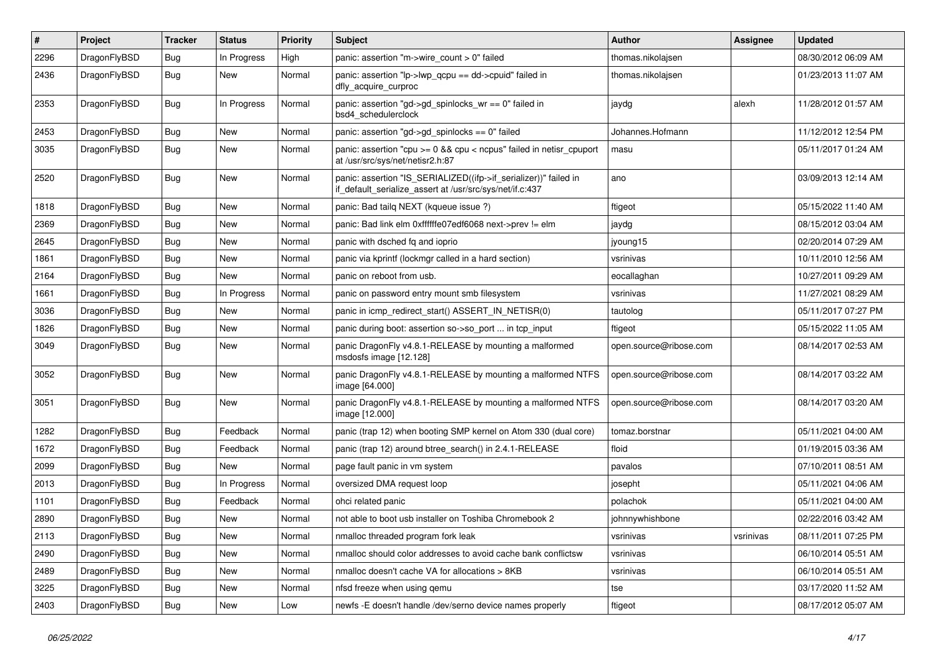| #    | Project      | <b>Tracker</b> | <b>Status</b> | <b>Priority</b> | <b>Subject</b>                                                                                                               | <b>Author</b>          | <b>Assignee</b> | <b>Updated</b>      |
|------|--------------|----------------|---------------|-----------------|------------------------------------------------------------------------------------------------------------------------------|------------------------|-----------------|---------------------|
| 2296 | DragonFlyBSD | <b>Bug</b>     | In Progress   | High            | panic: assertion "m->wire count > 0" failed                                                                                  | thomas.nikolajsen      |                 | 08/30/2012 06:09 AM |
| 2436 | DragonFlyBSD | <b>Bug</b>     | <b>New</b>    | Normal          | panic: assertion "lp->lwp_qcpu == dd->cpuid" failed in<br>dfly_acquire_curproc                                               | thomas.nikolajsen      |                 | 01/23/2013 11:07 AM |
| 2353 | DragonFlyBSD | Bug            | In Progress   | Normal          | panic: assertion "gd->gd_spinlocks_wr == 0" failed in<br>bsd4_schedulerclock                                                 | jaydg                  | alexh           | 11/28/2012 01:57 AM |
| 2453 | DragonFlyBSD | Bug            | <b>New</b>    | Normal          | panic: assertion "gd->gd_spinlocks == 0" failed                                                                              | Johannes.Hofmann       |                 | 11/12/2012 12:54 PM |
| 3035 | DragonFlyBSD | <b>Bug</b>     | New           | Normal          | panic: assertion "cpu >= 0 && cpu < ncpus" failed in netisr_cpuport<br>at /usr/src/sys/net/netisr2.h:87                      | masu                   |                 | 05/11/2017 01:24 AM |
| 2520 | DragonFlyBSD | Bug            | New           | Normal          | panic: assertion "IS_SERIALIZED((ifp->if_serializer))" failed in<br>if default serialize assert at /usr/src/sys/net/if.c:437 | ano                    |                 | 03/09/2013 12:14 AM |
| 1818 | DragonFlyBSD | Bug            | <b>New</b>    | Normal          | panic: Bad tailq NEXT (kqueue issue ?)                                                                                       | ftigeot                |                 | 05/15/2022 11:40 AM |
| 2369 | DragonFlyBSD | <b>Bug</b>     | New           | Normal          | panic: Bad link elm 0xffffffe07edf6068 next->prev != elm                                                                     | jaydg                  |                 | 08/15/2012 03:04 AM |
| 2645 | DragonFlyBSD | Bug            | <b>New</b>    | Normal          | panic with dsched fq and ioprio                                                                                              | jyoung15               |                 | 02/20/2014 07:29 AM |
| 1861 | DragonFlyBSD | <b>Bug</b>     | New           | Normal          | panic via kprintf (lockmgr called in a hard section)                                                                         | vsrinivas              |                 | 10/11/2010 12:56 AM |
| 2164 | DragonFlyBSD | <b>Bug</b>     | <b>New</b>    | Normal          | panic on reboot from usb.                                                                                                    | eocallaghan            |                 | 10/27/2011 09:29 AM |
| 1661 | DragonFlyBSD | <b>Bug</b>     | In Progress   | Normal          | panic on password entry mount smb filesystem                                                                                 | vsrinivas              |                 | 11/27/2021 08:29 AM |
| 3036 | DragonFlyBSD | <b>Bug</b>     | New           | Normal          | panic in icmp redirect start() ASSERT IN NETISR(0)                                                                           | tautolog               |                 | 05/11/2017 07:27 PM |
| 1826 | DragonFlyBSD | Bug            | <b>New</b>    | Normal          | panic during boot: assertion so->so_port  in tcp_input                                                                       | ftigeot                |                 | 05/15/2022 11:05 AM |
| 3049 | DragonFlyBSD | <b>Bug</b>     | New           | Normal          | panic DragonFly v4.8.1-RELEASE by mounting a malformed<br>msdosfs image [12.128]                                             | open.source@ribose.com |                 | 08/14/2017 02:53 AM |
| 3052 | DragonFlyBSD | <b>Bug</b>     | New           | Normal          | panic DragonFly v4.8.1-RELEASE by mounting a malformed NTFS<br>image [64.000]                                                | open.source@ribose.com |                 | 08/14/2017 03:22 AM |
| 3051 | DragonFlyBSD | Bug            | New           | Normal          | panic DragonFly v4.8.1-RELEASE by mounting a malformed NTFS<br>image [12.000]                                                | open.source@ribose.com |                 | 08/14/2017 03:20 AM |
| 1282 | DragonFlyBSD | Bug            | Feedback      | Normal          | panic (trap 12) when booting SMP kernel on Atom 330 (dual core)                                                              | tomaz.borstnar         |                 | 05/11/2021 04:00 AM |
| 1672 | DragonFlyBSD | Bug            | Feedback      | Normal          | panic (trap 12) around btree_search() in 2.4.1-RELEASE                                                                       | floid                  |                 | 01/19/2015 03:36 AM |
| 2099 | DragonFlyBSD | <b>Bug</b>     | New           | Normal          | page fault panic in vm system                                                                                                | pavalos                |                 | 07/10/2011 08:51 AM |
| 2013 | DragonFlyBSD | <b>Bug</b>     | In Progress   | Normal          | oversized DMA request loop                                                                                                   | josepht                |                 | 05/11/2021 04:06 AM |
| 1101 | DragonFlyBSD | Bug            | Feedback      | Normal          | ohci related panic                                                                                                           | polachok               |                 | 05/11/2021 04:00 AM |
| 2890 | DragonFlyBSD | Bug            | New           | Normal          | not able to boot usb installer on Toshiba Chromebook 2                                                                       | johnnywhishbone        |                 | 02/22/2016 03:42 AM |
| 2113 | DragonFlyBSD | Bug            | New           | Normal          | nmalloc threaded program fork leak                                                                                           | vsrinivas              | vsrinivas       | 08/11/2011 07:25 PM |
| 2490 | DragonFlyBSD | Bug            | New           | Normal          | nmalloc should color addresses to avoid cache bank conflictsw                                                                | vsrinivas              |                 | 06/10/2014 05:51 AM |
| 2489 | DragonFlyBSD | <b>Bug</b>     | <b>New</b>    | Normal          | nmalloc doesn't cache VA for allocations > 8KB                                                                               | vsrinivas              |                 | 06/10/2014 05:51 AM |
| 3225 | DragonFlyBSD | <b>Bug</b>     | <b>New</b>    | Normal          | nfsd freeze when using qemu                                                                                                  | tse                    |                 | 03/17/2020 11:52 AM |
| 2403 | DragonFlyBSD | <b>Bug</b>     | New           | Low             | newfs -E doesn't handle /dev/serno device names properly                                                                     | ftigeot                |                 | 08/17/2012 05:07 AM |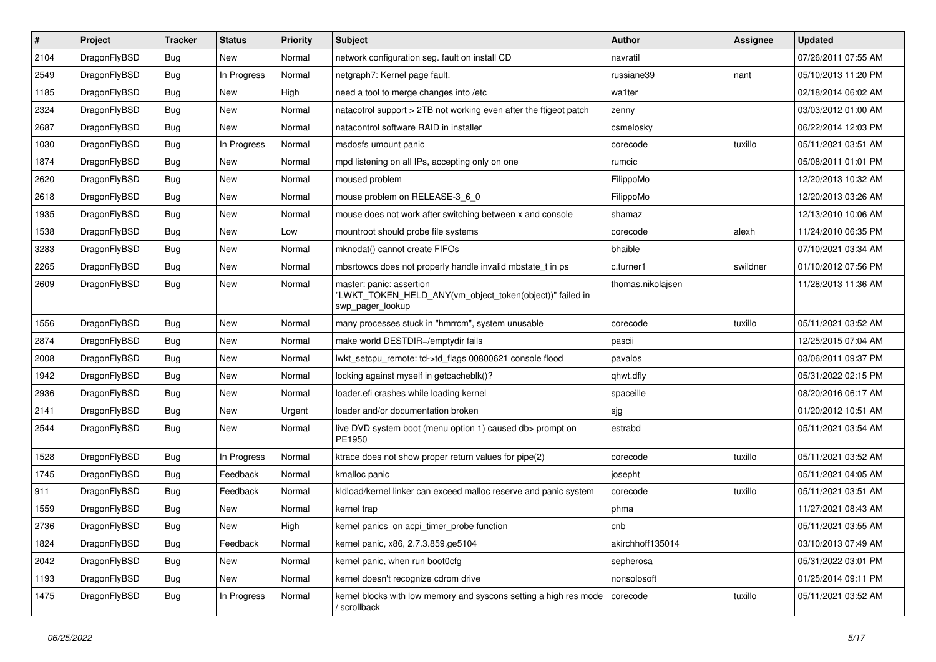| $\sharp$ | Project      | <b>Tracker</b> | <b>Status</b> | <b>Priority</b> | Subject                                                                                                  | <b>Author</b>     | <b>Assignee</b> | <b>Updated</b>      |
|----------|--------------|----------------|---------------|-----------------|----------------------------------------------------------------------------------------------------------|-------------------|-----------------|---------------------|
| 2104     | DragonFlyBSD | <b>Bug</b>     | New           | Normal          | network configuration seg. fault on install CD                                                           | navratil          |                 | 07/26/2011 07:55 AM |
| 2549     | DragonFlyBSD | Bug            | In Progress   | Normal          | netgraph7: Kernel page fault.                                                                            | russiane39        | nant            | 05/10/2013 11:20 PM |
| 1185     | DragonFlyBSD | <b>Bug</b>     | New           | High            | need a tool to merge changes into /etc                                                                   | wa1ter            |                 | 02/18/2014 06:02 AM |
| 2324     | DragonFlyBSD | Bug            | New           | Normal          | natacotrol support > 2TB not working even after the ftigeot patch                                        | zenny             |                 | 03/03/2012 01:00 AM |
| 2687     | DragonFlyBSD | Bug            | New           | Normal          | natacontrol software RAID in installer                                                                   | csmelosky         |                 | 06/22/2014 12:03 PM |
| 1030     | DragonFlyBSD | Bug            | In Progress   | Normal          | msdosfs umount panic                                                                                     | corecode          | tuxillo         | 05/11/2021 03:51 AM |
| 1874     | DragonFlyBSD | Bug            | <b>New</b>    | Normal          | mpd listening on all IPs, accepting only on one                                                          | rumcic            |                 | 05/08/2011 01:01 PM |
| 2620     | DragonFlyBSD | Bug            | New           | Normal          | moused problem                                                                                           | FilippoMo         |                 | 12/20/2013 10:32 AM |
| 2618     | DragonFlyBSD | <b>Bug</b>     | <b>New</b>    | Normal          | mouse problem on RELEASE-3_6_0                                                                           | FilippoMo         |                 | 12/20/2013 03:26 AM |
| 1935     | DragonFlyBSD | Bug            | New           | Normal          | mouse does not work after switching between x and console                                                | shamaz            |                 | 12/13/2010 10:06 AM |
| 1538     | DragonFlyBSD | <b>Bug</b>     | New           | Low             | mountroot should probe file systems                                                                      | corecode          | alexh           | 11/24/2010 06:35 PM |
| 3283     | DragonFlyBSD | Bug            | <b>New</b>    | Normal          | mknodat() cannot create FIFOs                                                                            | bhaible           |                 | 07/10/2021 03:34 AM |
| 2265     | DragonFlyBSD | Bug            | New           | Normal          | mbsrtowcs does not properly handle invalid mbstate_t in ps                                               | c.turner1         | swildner        | 01/10/2012 07:56 PM |
| 2609     | DragonFlyBSD | Bug            | New           | Normal          | master: panic: assertion<br>"LWKT_TOKEN_HELD_ANY(vm_object_token(object))" failed in<br>swp_pager_lookup | thomas.nikolajsen |                 | 11/28/2013 11:36 AM |
| 1556     | DragonFlyBSD | Bug            | <b>New</b>    | Normal          | many processes stuck in "hmrrcm", system unusable                                                        | corecode          | tuxillo         | 05/11/2021 03:52 AM |
| 2874     | DragonFlyBSD | Bug            | <b>New</b>    | Normal          | make world DESTDIR=/emptydir fails                                                                       | pascii            |                 | 12/25/2015 07:04 AM |
| 2008     | DragonFlyBSD | Bug            | New           | Normal          | lwkt_setcpu_remote: td->td_flags 00800621 console flood                                                  | pavalos           |                 | 03/06/2011 09:37 PM |
| 1942     | DragonFlyBSD | Bug            | New           | Normal          | locking against myself in getcacheblk()?                                                                 | qhwt.dfly         |                 | 05/31/2022 02:15 PM |
| 2936     | DragonFlyBSD | Bug            | New           | Normal          | loader.efi crashes while loading kernel                                                                  | spaceille         |                 | 08/20/2016 06:17 AM |
| 2141     | DragonFlyBSD | Bug            | New           | Urgent          | loader and/or documentation broken                                                                       | sjg               |                 | 01/20/2012 10:51 AM |
| 2544     | DragonFlyBSD | Bug            | New           | Normal          | live DVD system boot (menu option 1) caused db> prompt on<br>PE1950                                      | estrabd           |                 | 05/11/2021 03:54 AM |
| 1528     | DragonFlyBSD | Bug            | In Progress   | Normal          | ktrace does not show proper return values for pipe(2)                                                    | corecode          | tuxillo         | 05/11/2021 03:52 AM |
| 1745     | DragonFlyBSD | Bug            | Feedback      | Normal          | kmalloc panic                                                                                            | josepht           |                 | 05/11/2021 04:05 AM |
| 911      | DragonFlyBSD | Bug            | Feedback      | Normal          | kldload/kernel linker can exceed malloc reserve and panic system                                         | corecode          | tuxillo         | 05/11/2021 03:51 AM |
| 1559     | DragonFlyBSD | Bug            | New           | Normal          | kernel trap                                                                                              | phma              |                 | 11/27/2021 08:43 AM |
| 2736     | DragonFlyBSD | Bug            | New           | High            | kernel panics on acpi_timer_probe function                                                               | cnb               |                 | 05/11/2021 03:55 AM |
| 1824     | DragonFlyBSD | <b>Bug</b>     | Feedback      | Normal          | kernel panic, x86, 2.7.3.859.ge5104                                                                      | akirchhoff135014  |                 | 03/10/2013 07:49 AM |
| 2042     | DragonFlyBSD | Bug            | New           | Normal          | kernel panic, when run boot0cfg                                                                          | sepherosa         |                 | 05/31/2022 03:01 PM |
| 1193     | DragonFlyBSD | <b>Bug</b>     | New           | Normal          | kernel doesn't recognize cdrom drive                                                                     | nonsolosoft       |                 | 01/25/2014 09:11 PM |
| 1475     | DragonFlyBSD | <b>Bug</b>     | In Progress   | Normal          | kernel blocks with low memory and syscons setting a high res mode<br>/ scrollback                        | corecode          | tuxillo         | 05/11/2021 03:52 AM |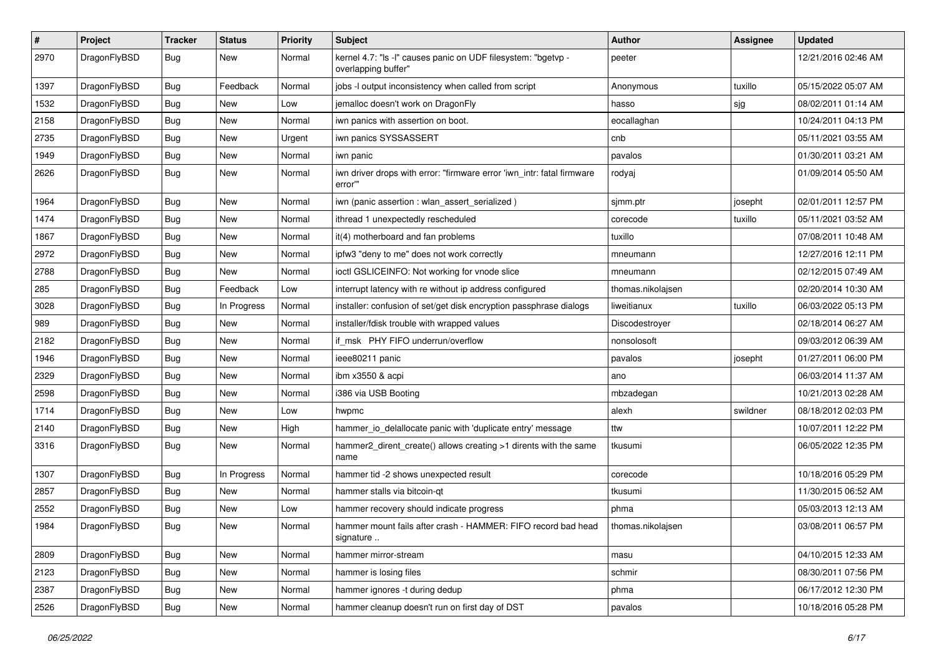| #    | Project      | <b>Tracker</b> | <b>Status</b> | <b>Priority</b> | Subject                                                                              | <b>Author</b>     | <b>Assignee</b> | <b>Updated</b>      |
|------|--------------|----------------|---------------|-----------------|--------------------------------------------------------------------------------------|-------------------|-----------------|---------------------|
| 2970 | DragonFlyBSD | Bug            | New           | Normal          | kernel 4.7: "Is -I" causes panic on UDF filesystem: "bgetvp -<br>overlapping buffer" | peeter            |                 | 12/21/2016 02:46 AM |
| 1397 | DragonFlyBSD | Bug            | Feedback      | Normal          | jobs -I output inconsistency when called from script                                 | Anonymous         | tuxillo         | 05/15/2022 05:07 AM |
| 1532 | DragonFlyBSD | Bug            | New           | Low             | jemalloc doesn't work on DragonFly                                                   | hasso             | sjg             | 08/02/2011 01:14 AM |
| 2158 | DragonFlyBSD | Bug            | New           | Normal          | iwn panics with assertion on boot.                                                   | eocallaghan       |                 | 10/24/2011 04:13 PM |
| 2735 | DragonFlyBSD | Bug            | <b>New</b>    | Urgent          | iwn panics SYSSASSERT                                                                | cnb               |                 | 05/11/2021 03:55 AM |
| 1949 | DragonFlyBSD | Bug            | <b>New</b>    | Normal          | iwn panic                                                                            | pavalos           |                 | 01/30/2011 03:21 AM |
| 2626 | DragonFlyBSD | Bug            | <b>New</b>    | Normal          | iwn driver drops with error: "firmware error 'iwn_intr: fatal firmware<br>error"     | rodyaj            |                 | 01/09/2014 05:50 AM |
| 1964 | DragonFlyBSD | Bug            | <b>New</b>    | Normal          | iwn (panic assertion : wlan_assert_serialized)                                       | sjmm.ptr          | josepht         | 02/01/2011 12:57 PM |
| 1474 | DragonFlyBSD | Bug            | New           | Normal          | ithread 1 unexpectedly rescheduled                                                   | corecode          | tuxillo         | 05/11/2021 03:52 AM |
| 1867 | DragonFlyBSD | Bug            | New           | Normal          | it(4) motherboard and fan problems                                                   | tuxillo           |                 | 07/08/2011 10:48 AM |
| 2972 | DragonFlyBSD | Bug            | New           | Normal          | ipfw3 "deny to me" does not work correctly                                           | mneumann          |                 | 12/27/2016 12:11 PM |
| 2788 | DragonFlyBSD | Bug            | New           | Normal          | ioctl GSLICEINFO: Not working for vnode slice                                        | mneumann          |                 | 02/12/2015 07:49 AM |
| 285  | DragonFlyBSD | Bug            | Feedback      | Low             | interrupt latency with re without ip address configured                              | thomas.nikolajsen |                 | 02/20/2014 10:30 AM |
| 3028 | DragonFlyBSD | Bug            | In Progress   | Normal          | installer: confusion of set/get disk encryption passphrase dialogs                   | liweitianux       | tuxillo         | 06/03/2022 05:13 PM |
| 989  | DragonFlyBSD | Bug            | <b>New</b>    | Normal          | installer/fdisk trouble with wrapped values                                          | Discodestrover    |                 | 02/18/2014 06:27 AM |
| 2182 | DragonFlyBSD | Bug            | <b>New</b>    | Normal          | if msk PHY FIFO underrun/overflow                                                    | nonsolosoft       |                 | 09/03/2012 06:39 AM |
| 1946 | DragonFlyBSD | Bug            | <b>New</b>    | Normal          | ieee80211 panic                                                                      | pavalos           | josepht         | 01/27/2011 06:00 PM |
| 2329 | DragonFlyBSD | Bug            | <b>New</b>    | Normal          | ibm x3550 & acpi                                                                     | ano               |                 | 06/03/2014 11:37 AM |
| 2598 | DragonFlyBSD | Bug            | New           | Normal          | i386 via USB Booting                                                                 | mbzadegan         |                 | 10/21/2013 02:28 AM |
| 1714 | DragonFlyBSD | <b>Bug</b>     | <b>New</b>    | Low             | hwpmc                                                                                | alexh             | swildner        | 08/18/2012 02:03 PM |
| 2140 | DragonFlyBSD | Bug            | New           | High            | hammer_io_delallocate panic with 'duplicate entry' message                           | ttw               |                 | 10/07/2011 12:22 PM |
| 3316 | DragonFlyBSD | <b>Bug</b>     | New           | Normal          | hammer2_dirent_create() allows creating >1 dirents with the same<br>name             | tkusumi           |                 | 06/05/2022 12:35 PM |
| 1307 | DragonFlyBSD | Bug            | In Progress   | Normal          | hammer tid -2 shows unexpected result                                                | corecode          |                 | 10/18/2016 05:29 PM |
| 2857 | DragonFlyBSD | <b>Bug</b>     | <b>New</b>    | Normal          | hammer stalls via bitcoin-qt                                                         | tkusumi           |                 | 11/30/2015 06:52 AM |
| 2552 | DragonFlyBSD | Bug            | New           | Low             | hammer recovery should indicate progress                                             | phma              |                 | 05/03/2013 12:13 AM |
| 1984 | DragonFlyBSD | Bug            | <b>New</b>    | Normal          | hammer mount fails after crash - HAMMER: FIFO record bad head<br>signature           | thomas.nikolajsen |                 | 03/08/2011 06:57 PM |
| 2809 | DragonFlyBSD | <b>Bug</b>     | New           | Normal          | hammer mirror-stream                                                                 | masu              |                 | 04/10/2015 12:33 AM |
| 2123 | DragonFlyBSD | <b>Bug</b>     | New           | Normal          | hammer is losing files                                                               | schmir            |                 | 08/30/2011 07:56 PM |
| 2387 | DragonFlyBSD | <b>Bug</b>     | New           | Normal          | hammer ignores -t during dedup                                                       | phma              |                 | 06/17/2012 12:30 PM |
| 2526 | DragonFlyBSD | <b>Bug</b>     | New           | Normal          | hammer cleanup doesn't run on first day of DST                                       | pavalos           |                 | 10/18/2016 05:28 PM |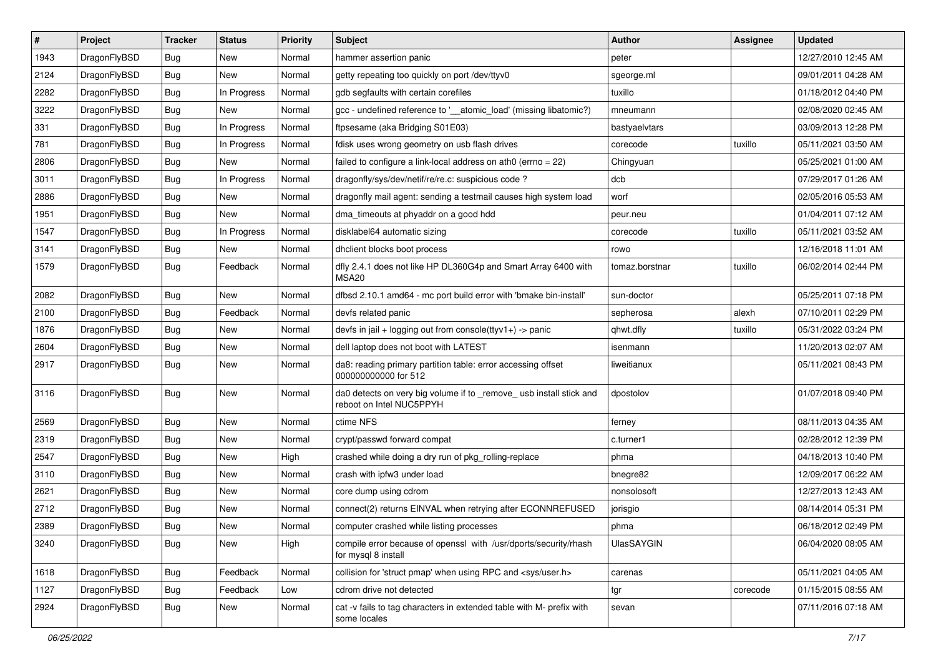| $\pmb{\#}$ | Project      | <b>Tracker</b> | <b>Status</b> | Priority | Subject                                                                                         | Author            | <b>Assignee</b> | <b>Updated</b>      |
|------------|--------------|----------------|---------------|----------|-------------------------------------------------------------------------------------------------|-------------------|-----------------|---------------------|
| 1943       | DragonFlyBSD | Bug            | <b>New</b>    | Normal   | hammer assertion panic                                                                          | peter             |                 | 12/27/2010 12:45 AM |
| 2124       | DragonFlyBSD | Bug            | <b>New</b>    | Normal   | getty repeating too quickly on port /dev/ttyv0                                                  | sgeorge.ml        |                 | 09/01/2011 04:28 AM |
| 2282       | DragonFlyBSD | Bug            | In Progress   | Normal   | gdb segfaults with certain corefiles                                                            | tuxillo           |                 | 01/18/2012 04:40 PM |
| 3222       | DragonFlyBSD | Bug            | <b>New</b>    | Normal   | gcc - undefined reference to '__atomic_load' (missing libatomic?)                               | mneumann          |                 | 02/08/2020 02:45 AM |
| 331        | DragonFlyBSD | Bug            | In Progress   | Normal   | ftpsesame (aka Bridging S01E03)                                                                 | bastyaelvtars     |                 | 03/09/2013 12:28 PM |
| 781        | DragonFlyBSD | Bug            | In Progress   | Normal   | fdisk uses wrong geometry on usb flash drives                                                   | corecode          | tuxillo         | 05/11/2021 03:50 AM |
| 2806       | DragonFlyBSD | Bug            | <b>New</b>    | Normal   | failed to configure a link-local address on ath0 (errno = 22)                                   | Chingyuan         |                 | 05/25/2021 01:00 AM |
| 3011       | DragonFlyBSD | Bug            | In Progress   | Normal   | dragonfly/sys/dev/netif/re/re.c: suspicious code?                                               | dcb               |                 | 07/29/2017 01:26 AM |
| 2886       | DragonFlyBSD | Bug            | <b>New</b>    | Normal   | dragonfly mail agent: sending a testmail causes high system load                                | worf              |                 | 02/05/2016 05:53 AM |
| 1951       | DragonFlyBSD | Bug            | <b>New</b>    | Normal   | dma_timeouts at phyaddr on a good hdd                                                           | peur.neu          |                 | 01/04/2011 07:12 AM |
| 1547       | DragonFlyBSD | Bug            | In Progress   | Normal   | disklabel64 automatic sizing                                                                    | corecode          | tuxillo         | 05/11/2021 03:52 AM |
| 3141       | DragonFlyBSD | Bug            | New           | Normal   | dhclient blocks boot process                                                                    | rowo              |                 | 12/16/2018 11:01 AM |
| 1579       | DragonFlyBSD | Bug            | Feedback      | Normal   | dfly 2.4.1 does not like HP DL360G4p and Smart Array 6400 with<br>MSA <sub>20</sub>             | tomaz.borstnar    | tuxillo         | 06/02/2014 02:44 PM |
| 2082       | DragonFlyBSD | Bug            | <b>New</b>    | Normal   | dfbsd 2.10.1 amd64 - mc port build error with 'bmake bin-install'                               | sun-doctor        |                 | 05/25/2011 07:18 PM |
| 2100       | DragonFlyBSD | Bug            | Feedback      | Normal   | devfs related panic                                                                             | sepherosa         | alexh           | 07/10/2011 02:29 PM |
| 1876       | DragonFlyBSD | Bug            | New           | Normal   | devfs in jail + logging out from console(ttyv1+) -> panic                                       | qhwt.dfly         | tuxillo         | 05/31/2022 03:24 PM |
| 2604       | DragonFlyBSD | Bug            | <b>New</b>    | Normal   | dell laptop does not boot with LATEST                                                           | isenmann          |                 | 11/20/2013 02:07 AM |
| 2917       | DragonFlyBSD | Bug            | New           | Normal   | da8: reading primary partition table: error accessing offset<br>000000000000 for 512            | liweitianux       |                 | 05/11/2021 08:43 PM |
| 3116       | DragonFlyBSD | Bug            | <b>New</b>    | Normal   | da0 detects on very big volume if to _remove_ usb install stick and<br>reboot on Intel NUC5PPYH | dpostolov         |                 | 01/07/2018 09:40 PM |
| 2569       | DragonFlyBSD | Bug            | <b>New</b>    | Normal   | ctime NFS                                                                                       | ferney            |                 | 08/11/2013 04:35 AM |
| 2319       | DragonFlyBSD | Bug            | New           | Normal   | crypt/passwd forward compat                                                                     | c.turner1         |                 | 02/28/2012 12:39 PM |
| 2547       | DragonFlyBSD | Bug            | <b>New</b>    | High     | crashed while doing a dry run of pkg_rolling-replace                                            | phma              |                 | 04/18/2013 10:40 PM |
| 3110       | DragonFlyBSD | Bug            | <b>New</b>    | Normal   | crash with ipfw3 under load                                                                     | bnegre82          |                 | 12/09/2017 06:22 AM |
| 2621       | DragonFlyBSD | Bug            | New           | Normal   | core dump using cdrom                                                                           | nonsolosoft       |                 | 12/27/2013 12:43 AM |
| 2712       | DragonFlyBSD | Bug            | New           | Normal   | connect(2) returns EINVAL when retrying after ECONNREFUSED                                      | jorisgio          |                 | 08/14/2014 05:31 PM |
| 2389       | DragonFlyBSD | Bug            | New           | Normal   | computer crashed while listing processes                                                        | phma              |                 | 06/18/2012 02:49 PM |
| 3240       | DragonFlyBSD | Bug            | New           | High     | compile error because of openssl with /usr/dports/security/rhash<br>for mysql 8 install         | <b>UlasSAYGIN</b> |                 | 06/04/2020 08:05 AM |
| 1618       | DragonFlyBSD | Bug            | Feedback      | Normal   | collision for 'struct pmap' when using RPC and <sys user.h=""></sys>                            | carenas           |                 | 05/11/2021 04:05 AM |
| 1127       | DragonFlyBSD | Bug            | Feedback      | Low      | cdrom drive not detected                                                                        | tgr               | corecode        | 01/15/2015 08:55 AM |
| 2924       | DragonFlyBSD | Bug            | New           | Normal   | cat -v fails to tag characters in extended table with M- prefix with<br>some locales            | sevan             |                 | 07/11/2016 07:18 AM |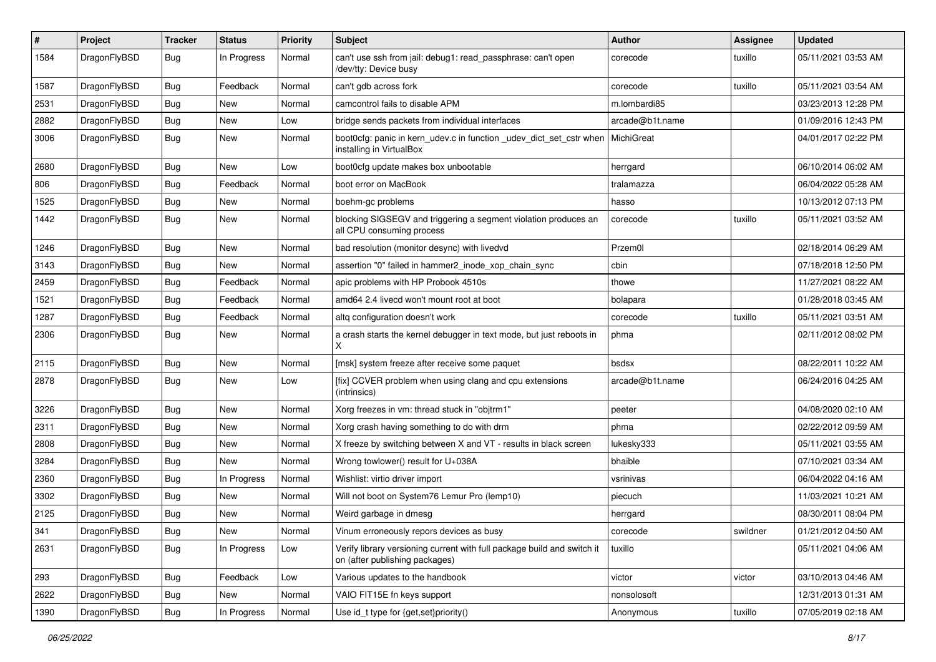| $\pmb{\#}$ | Project      | <b>Tracker</b> | <b>Status</b> | <b>Priority</b> | Subject                                                                                                   | <b>Author</b>   | <b>Assignee</b> | <b>Updated</b>      |
|------------|--------------|----------------|---------------|-----------------|-----------------------------------------------------------------------------------------------------------|-----------------|-----------------|---------------------|
| 1584       | DragonFlyBSD | Bug            | In Progress   | Normal          | can't use ssh from jail: debug1: read_passphrase: can't open<br>/dev/tty: Device busy                     | corecode        | tuxillo         | 05/11/2021 03:53 AM |
| 1587       | DragonFlyBSD | Bug            | Feedback      | Normal          | can't gdb across fork                                                                                     | corecode        | tuxillo         | 05/11/2021 03:54 AM |
| 2531       | DragonFlyBSD | Bug            | <b>New</b>    | Normal          | camcontrol fails to disable APM                                                                           | m.lombardi85    |                 | 03/23/2013 12:28 PM |
| 2882       | DragonFlyBSD | Bug            | <b>New</b>    | Low             | bridge sends packets from individual interfaces                                                           | arcade@b1t.name |                 | 01/09/2016 12:43 PM |
| 3006       | DragonFlyBSD | Bug            | New           | Normal          | boot0cfg: panic in kern_udev.c in function _udev_dict_set_cstr when<br>installing in VirtualBox           | MichiGreat      |                 | 04/01/2017 02:22 PM |
| 2680       | DragonFlyBSD | Bug            | New           | Low             | boot0cfg update makes box unbootable                                                                      | herrgard        |                 | 06/10/2014 06:02 AM |
| 806        | DragonFlyBSD | Bug            | Feedback      | Normal          | boot error on MacBook                                                                                     | tralamazza      |                 | 06/04/2022 05:28 AM |
| 1525       | DragonFlyBSD | Bug            | New           | Normal          | boehm-gc problems                                                                                         | hasso           |                 | 10/13/2012 07:13 PM |
| 1442       | DragonFlyBSD | Bug            | New           | Normal          | blocking SIGSEGV and triggering a segment violation produces an<br>all CPU consuming process              | corecode        | tuxillo         | 05/11/2021 03:52 AM |
| 1246       | DragonFlyBSD | Bug            | <b>New</b>    | Normal          | bad resolution (monitor desync) with livedvd                                                              | Przem0l         |                 | 02/18/2014 06:29 AM |
| 3143       | DragonFlyBSD | Bug            | New           | Normal          | assertion "0" failed in hammer2_inode_xop_chain_sync                                                      | cbin            |                 | 07/18/2018 12:50 PM |
| 2459       | DragonFlyBSD | Bug            | Feedback      | Normal          | apic problems with HP Probook 4510s                                                                       | thowe           |                 | 11/27/2021 08:22 AM |
| 1521       | DragonFlyBSD | Bug            | Feedback      | Normal          | amd64 2.4 livecd won't mount root at boot                                                                 | bolapara        |                 | 01/28/2018 03:45 AM |
| 1287       | DragonFlyBSD | Bug            | Feedback      | Normal          | altg configuration doesn't work                                                                           | corecode        | tuxillo         | 05/11/2021 03:51 AM |
| 2306       | DragonFlyBSD | Bug            | <b>New</b>    | Normal          | a crash starts the kernel debugger in text mode, but just reboots in<br>X                                 | phma            |                 | 02/11/2012 08:02 PM |
| 2115       | DragonFlyBSD | Bug            | <b>New</b>    | Normal          | [msk] system freeze after receive some paquet                                                             | bsdsx           |                 | 08/22/2011 10:22 AM |
| 2878       | DragonFlyBSD | Bug            | New           | Low             | [fix] CCVER problem when using clang and cpu extensions<br>(intrinsics)                                   | arcade@b1t.name |                 | 06/24/2016 04:25 AM |
| 3226       | DragonFlyBSD | Bug            | <b>New</b>    | Normal          | Xorg freezes in vm: thread stuck in "objtrm1"                                                             | peeter          |                 | 04/08/2020 02:10 AM |
| 2311       | DragonFlyBSD | Bug            | <b>New</b>    | Normal          | Xorg crash having something to do with drm                                                                | phma            |                 | 02/22/2012 09:59 AM |
| 2808       | DragonFlyBSD | Bug            | New           | Normal          | X freeze by switching between X and VT - results in black screen                                          | lukesky333      |                 | 05/11/2021 03:55 AM |
| 3284       | DragonFlyBSD | Bug            | <b>New</b>    | Normal          | Wrong towlower() result for U+038A                                                                        | bhaible         |                 | 07/10/2021 03:34 AM |
| 2360       | DragonFlyBSD | Bug            | In Progress   | Normal          | Wishlist: virtio driver import                                                                            | vsrinivas       |                 | 06/04/2022 04:16 AM |
| 3302       | DragonFlyBSD | Bug            | New           | Normal          | Will not boot on System76 Lemur Pro (lemp10)                                                              | piecuch         |                 | 11/03/2021 10:21 AM |
| 2125       | DragonFlyBSD | Bug            | New           | Normal          | Weird garbage in dmesg                                                                                    | herrgard        |                 | 08/30/2011 08:04 PM |
| 341        | DragonFlyBSD | <b>Bug</b>     | i New         | Normal          | Vinum erroneously repors devices as busy                                                                  | corecode        | swildner        | 01/21/2012 04:50 AM |
| 2631       | DragonFlyBSD | Bug            | In Progress   | Low             | Verify library versioning current with full package build and switch it<br>on (after publishing packages) | tuxillo         |                 | 05/11/2021 04:06 AM |
| 293        | DragonFlyBSD | <b>Bug</b>     | Feedback      | Low             | Various updates to the handbook                                                                           | victor          | victor          | 03/10/2013 04:46 AM |
| 2622       | DragonFlyBSD | Bug            | New           | Normal          | VAIO FIT15E fn keys support                                                                               | nonsolosoft     |                 | 12/31/2013 01:31 AM |
| 1390       | DragonFlyBSD | Bug            | In Progress   | Normal          | Use id_t type for {get,set}priority()                                                                     | Anonymous       | tuxillo         | 07/05/2019 02:18 AM |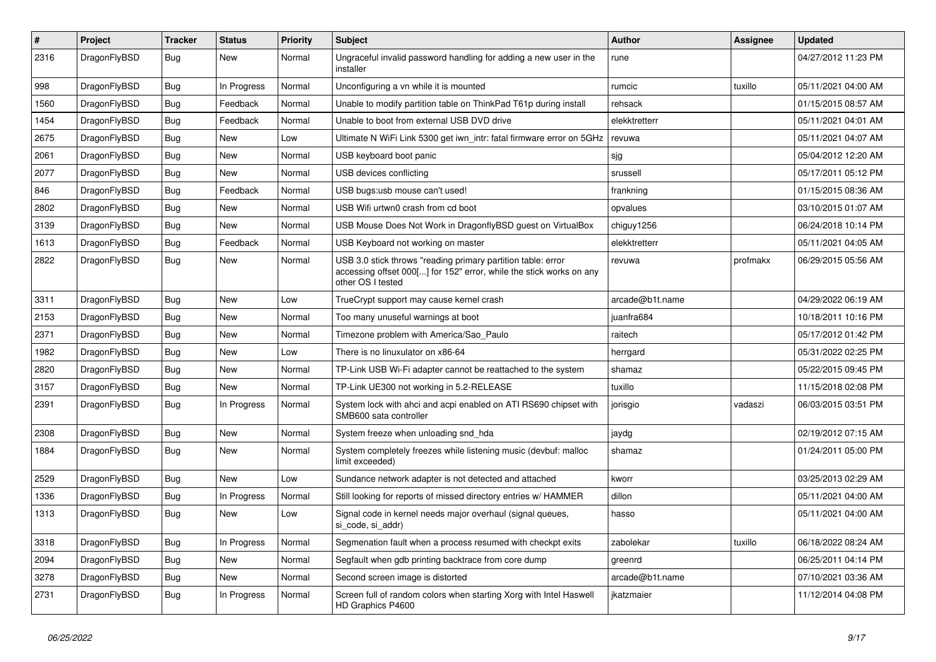| #    | Project      | <b>Tracker</b> | <b>Status</b> | <b>Priority</b> | <b>Subject</b>                                                                                                                                           | Author          | <b>Assignee</b> | <b>Updated</b>      |
|------|--------------|----------------|---------------|-----------------|----------------------------------------------------------------------------------------------------------------------------------------------------------|-----------------|-----------------|---------------------|
| 2316 | DragonFlyBSD | Bug            | New           | Normal          | Ungraceful invalid password handling for adding a new user in the<br>installer                                                                           | rune            |                 | 04/27/2012 11:23 PM |
| 998  | DragonFlyBSD | Bug            | In Progress   | Normal          | Unconfiguring a vn while it is mounted                                                                                                                   | rumcic          | tuxillo         | 05/11/2021 04:00 AM |
| 1560 | DragonFlyBSD | Bug            | Feedback      | Normal          | Unable to modify partition table on ThinkPad T61p during install                                                                                         | rehsack         |                 | 01/15/2015 08:57 AM |
| 1454 | DragonFlyBSD | Bug            | Feedback      | Normal          | Unable to boot from external USB DVD drive                                                                                                               | elekktretterr   |                 | 05/11/2021 04:01 AM |
| 2675 | DragonFlyBSD | <b>Bug</b>     | New           | Low             | Ultimate N WiFi Link 5300 get iwn_intr: fatal firmware error on 5GHz                                                                                     | revuwa          |                 | 05/11/2021 04:07 AM |
| 2061 | DragonFlyBSD | Bug            | <b>New</b>    | Normal          | USB keyboard boot panic                                                                                                                                  | sjg             |                 | 05/04/2012 12:20 AM |
| 2077 | DragonFlyBSD | Bug            | New           | Normal          | USB devices conflicting                                                                                                                                  | srussell        |                 | 05/17/2011 05:12 PM |
| 846  | DragonFlyBSD | <b>Bug</b>     | Feedback      | Normal          | USB bugs:usb mouse can't used!                                                                                                                           | frankning       |                 | 01/15/2015 08:36 AM |
| 2802 | DragonFlyBSD | <b>Bug</b>     | New           | Normal          | USB Wifi urtwn0 crash from cd boot                                                                                                                       | opvalues        |                 | 03/10/2015 01:07 AM |
| 3139 | DragonFlyBSD | Bug            | New           | Normal          | USB Mouse Does Not Work in DragonflyBSD guest on VirtualBox                                                                                              | chiguy1256      |                 | 06/24/2018 10:14 PM |
| 1613 | DragonFlyBSD | Bug            | Feedback      | Normal          | USB Keyboard not working on master                                                                                                                       | elekktretterr   |                 | 05/11/2021 04:05 AM |
| 2822 | DragonFlyBSD | Bug            | New           | Normal          | USB 3.0 stick throws "reading primary partition table: error<br>accessing offset 000[] for 152" error, while the stick works on any<br>other OS I tested | revuwa          | profmakx        | 06/29/2015 05:56 AM |
| 3311 | DragonFlyBSD | Bug            | New           | Low             | TrueCrypt support may cause kernel crash                                                                                                                 | arcade@b1t.name |                 | 04/29/2022 06:19 AM |
| 2153 | DragonFlyBSD | <b>Bug</b>     | New           | Normal          | Too many unuseful warnings at boot                                                                                                                       | juanfra684      |                 | 10/18/2011 10:16 PM |
| 2371 | DragonFlyBSD | Bug            | <b>New</b>    | Normal          | Timezone problem with America/Sao Paulo                                                                                                                  | raitech         |                 | 05/17/2012 01:42 PM |
| 1982 | DragonFlyBSD | <b>Bug</b>     | <b>New</b>    | Low             | There is no linuxulator on x86-64                                                                                                                        | herrgard        |                 | 05/31/2022 02:25 PM |
| 2820 | DragonFlyBSD | Bug            | New           | Normal          | TP-Link USB Wi-Fi adapter cannot be reattached to the system                                                                                             | shamaz          |                 | 05/22/2015 09:45 PM |
| 3157 | DragonFlyBSD | Bug            | New           | Normal          | TP-Link UE300 not working in 5.2-RELEASE                                                                                                                 | tuxillo         |                 | 11/15/2018 02:08 PM |
| 2391 | DragonFlyBSD | Bug            | In Progress   | Normal          | System lock with ahci and acpi enabled on ATI RS690 chipset with<br>SMB600 sata controller                                                               | jorisgio        | vadaszi         | 06/03/2015 03:51 PM |
| 2308 | DragonFlyBSD | Bug            | New           | Normal          | System freeze when unloading snd hda                                                                                                                     | jaydg           |                 | 02/19/2012 07:15 AM |
| 1884 | DragonFlyBSD | Bug            | New           | Normal          | System completely freezes while listening music (devbuf: malloc<br>limit exceeded)                                                                       | shamaz          |                 | 01/24/2011 05:00 PM |
| 2529 | DragonFlyBSD | <b>Bug</b>     | New           | Low             | Sundance network adapter is not detected and attached                                                                                                    | kworr           |                 | 03/25/2013 02:29 AM |
| 1336 | DragonFlyBSD | Bug            | In Progress   | Normal          | Still looking for reports of missed directory entries w/ HAMMER                                                                                          | dillon          |                 | 05/11/2021 04:00 AM |
| 1313 | DragonFlyBSD | <b>Bug</b>     | New           | Low             | Signal code in kernel needs major overhaul (signal queues,<br>si_code, si_addr)                                                                          | hasso           |                 | 05/11/2021 04:00 AM |
| 3318 | DragonFlyBSD | Bug            | In Progress   | Normal          | Segmenation fault when a process resumed with checkpt exits                                                                                              | zabolekar       | tuxillo         | 06/18/2022 08:24 AM |
| 2094 | DragonFlyBSD | <b>Bug</b>     | New           | Normal          | Segfault when gdb printing backtrace from core dump                                                                                                      | greenrd         |                 | 06/25/2011 04:14 PM |
| 3278 | DragonFlyBSD | <b>Bug</b>     | New           | Normal          | Second screen image is distorted                                                                                                                         | arcade@b1t.name |                 | 07/10/2021 03:36 AM |
| 2731 | DragonFlyBSD | <b>Bug</b>     | In Progress   | Normal          | Screen full of random colors when starting Xorg with Intel Haswell<br>HD Graphics P4600                                                                  | jkatzmaier      |                 | 11/12/2014 04:08 PM |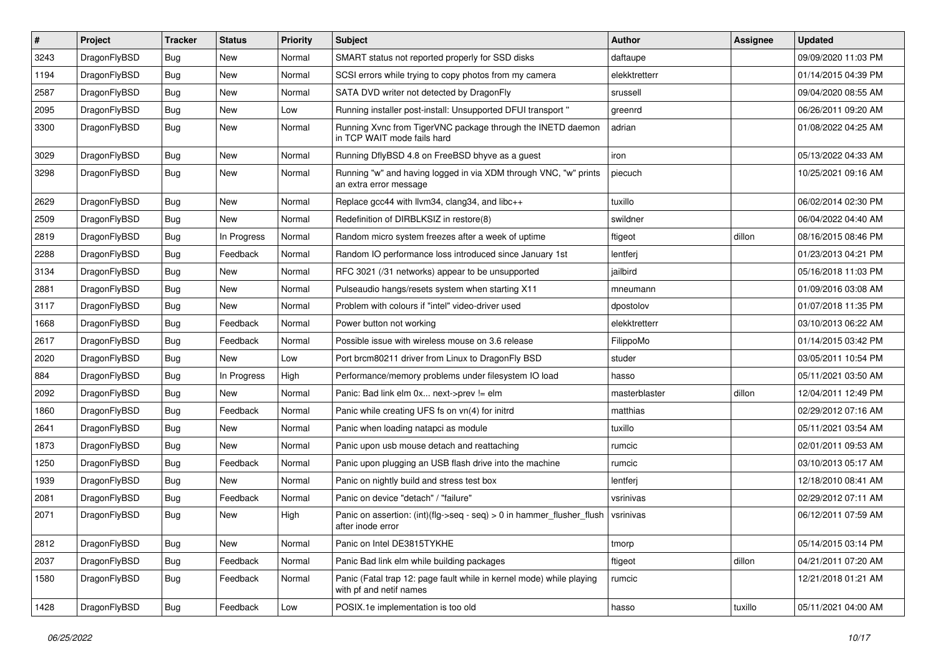| $\vert$ # | Project      | <b>Tracker</b> | <b>Status</b> | <b>Priority</b> | <b>Subject</b>                                                                                  | Author        | Assignee | <b>Updated</b>      |
|-----------|--------------|----------------|---------------|-----------------|-------------------------------------------------------------------------------------------------|---------------|----------|---------------------|
| 3243      | DragonFlyBSD | Bug            | <b>New</b>    | Normal          | SMART status not reported properly for SSD disks                                                | daftaupe      |          | 09/09/2020 11:03 PM |
| 1194      | DragonFlyBSD | <b>Bug</b>     | <b>New</b>    | Normal          | SCSI errors while trying to copy photos from my camera                                          | elekktretterr |          | 01/14/2015 04:39 PM |
| 2587      | DragonFlyBSD | <b>Bug</b>     | <b>New</b>    | Normal          | SATA DVD writer not detected by DragonFly                                                       | srussell      |          | 09/04/2020 08:55 AM |
| 2095      | DragonFlyBSD | Bug            | <b>New</b>    | Low             | Running installer post-install: Unsupported DFUI transport"                                     | greenrd       |          | 06/26/2011 09:20 AM |
| 3300      | DragonFlyBSD | Bug            | <b>New</b>    | Normal          | Running Xvnc from TigerVNC package through the INETD daemon<br>in TCP WAIT mode fails hard      | adrian        |          | 01/08/2022 04:25 AM |
| 3029      | DragonFlyBSD | Bug            | New           | Normal          | Running DflyBSD 4.8 on FreeBSD bhyve as a guest                                                 | iron          |          | 05/13/2022 04:33 AM |
| 3298      | DragonFlyBSD | Bug            | New           | Normal          | Running "w" and having logged in via XDM through VNC, "w" prints<br>an extra error message      | piecuch       |          | 10/25/2021 09:16 AM |
| 2629      | DragonFlyBSD | <b>Bug</b>     | <b>New</b>    | Normal          | Replace gcc44 with llvm34, clang34, and libc++                                                  | tuxillo       |          | 06/02/2014 02:30 PM |
| 2509      | DragonFlyBSD | Bug            | <b>New</b>    | Normal          | Redefinition of DIRBLKSIZ in restore(8)                                                         | swildner      |          | 06/04/2022 04:40 AM |
| 2819      | DragonFlyBSD | Bug            | In Progress   | Normal          | Random micro system freezes after a week of uptime                                              | ftigeot       | dillon   | 08/16/2015 08:46 PM |
| 2288      | DragonFlyBSD | Bug            | Feedback      | Normal          | Random IO performance loss introduced since January 1st                                         | lentferj      |          | 01/23/2013 04:21 PM |
| 3134      | DragonFlyBSD | Bug            | New           | Normal          | RFC 3021 (/31 networks) appear to be unsupported                                                | jailbird      |          | 05/16/2018 11:03 PM |
| 2881      | DragonFlyBSD | Bug            | <b>New</b>    | Normal          | Pulseaudio hangs/resets system when starting X11                                                | mneumann      |          | 01/09/2016 03:08 AM |
| 3117      | DragonFlyBSD | Bug            | New           | Normal          | Problem with colours if "intel" video-driver used                                               | dpostolov     |          | 01/07/2018 11:35 PM |
| 1668      | DragonFlyBSD | Bug            | Feedback      | Normal          | Power button not working                                                                        | elekktretterr |          | 03/10/2013 06:22 AM |
| 2617      | DragonFlyBSD | Bug            | Feedback      | Normal          | Possible issue with wireless mouse on 3.6 release                                               | FilippoMo     |          | 01/14/2015 03:42 PM |
| 2020      | DragonFlyBSD | <b>Bug</b>     | New           | Low             | Port brcm80211 driver from Linux to DragonFly BSD                                               | studer        |          | 03/05/2011 10:54 PM |
| 884       | DragonFlyBSD | Bug            | In Progress   | High            | Performance/memory problems under filesystem IO load                                            | hasso         |          | 05/11/2021 03:50 AM |
| 2092      | DragonFlyBSD | <b>Bug</b>     | New           | Normal          | Panic: Bad link elm 0x next->prev != elm                                                        | masterblaster | dillon   | 12/04/2011 12:49 PM |
| 1860      | DragonFlyBSD | <b>Bug</b>     | Feedback      | Normal          | Panic while creating UFS fs on vn(4) for initrd                                                 | matthias      |          | 02/29/2012 07:16 AM |
| 2641      | DragonFlyBSD | Bug            | <b>New</b>    | Normal          | Panic when loading natapci as module                                                            | tuxillo       |          | 05/11/2021 03:54 AM |
| 1873      | DragonFlyBSD | <b>Bug</b>     | New           | Normal          | Panic upon usb mouse detach and reattaching                                                     | rumcic        |          | 02/01/2011 09:53 AM |
| 1250      | DragonFlyBSD | Bug            | Feedback      | Normal          | Panic upon plugging an USB flash drive into the machine                                         | rumcic        |          | 03/10/2013 05:17 AM |
| 1939      | DragonFlyBSD | Bug            | New           | Normal          | Panic on nightly build and stress test box                                                      | lentferj      |          | 12/18/2010 08:41 AM |
| 2081      | DragonFlyBSD | Bug            | Feedback      | Normal          | Panic on device "detach" / "failure"                                                            | vsrinivas     |          | 02/29/2012 07:11 AM |
| 2071      | DragonFlyBSD | Bug            | New           | High            | Panic on assertion: (int)(flg->seq - seq) > 0 in hammer_flusher_flush<br>after inode error      | vsrinivas     |          | 06/12/2011 07:59 AM |
| 2812      | DragonFlyBSD | Bug            | New           | Normal          | Panic on Intel DE3815TYKHE                                                                      | tmorp         |          | 05/14/2015 03:14 PM |
| 2037      | DragonFlyBSD | <b>Bug</b>     | Feedback      | Normal          | Panic Bad link elm while building packages                                                      | ftigeot       | dillon   | 04/21/2011 07:20 AM |
| 1580      | DragonFlyBSD | <b>Bug</b>     | Feedback      | Normal          | Panic (Fatal trap 12: page fault while in kernel mode) while playing<br>with pf and netif names | rumcic        |          | 12/21/2018 01:21 AM |
| 1428      | DragonFlyBSD | <b>Bug</b>     | Feedback      | Low             | POSIX.1e implementation is too old                                                              | hasso         | tuxillo  | 05/11/2021 04:00 AM |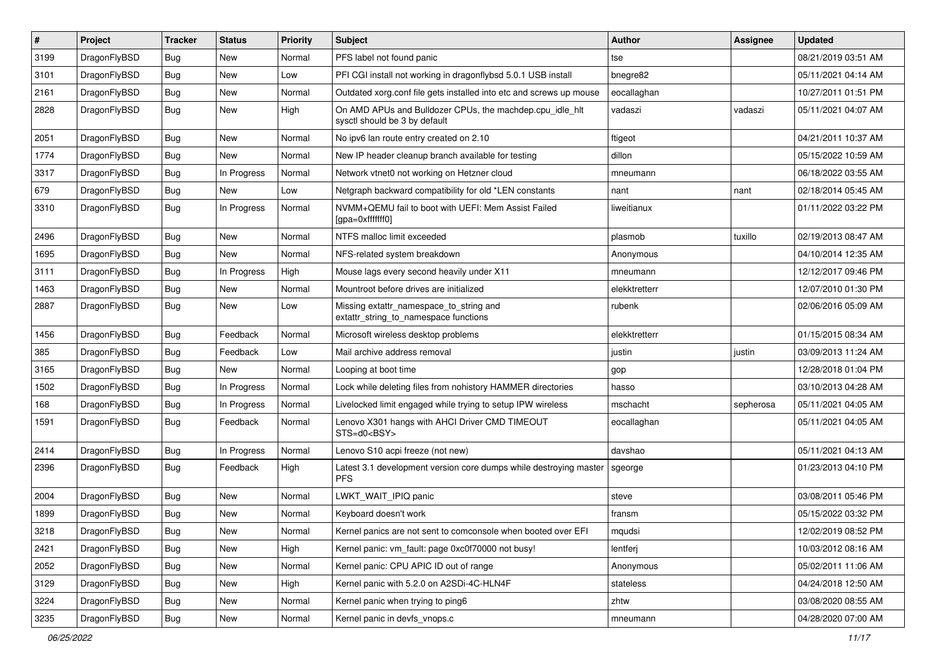| $\sharp$ | Project      | <b>Tracker</b> | <b>Status</b> | <b>Priority</b> | Subject                                                                                   | <b>Author</b> | Assignee  | <b>Updated</b>      |
|----------|--------------|----------------|---------------|-----------------|-------------------------------------------------------------------------------------------|---------------|-----------|---------------------|
| 3199     | DragonFlyBSD | <b>Bug</b>     | <b>New</b>    | Normal          | PFS label not found panic                                                                 | tse           |           | 08/21/2019 03:51 AM |
| 3101     | DragonFlyBSD | Bug            | <b>New</b>    | Low             | PFI CGI install not working in dragonflybsd 5.0.1 USB install                             | bnegre82      |           | 05/11/2021 04:14 AM |
| 2161     | DragonFlyBSD | <b>Bug</b>     | <b>New</b>    | Normal          | Outdated xorg.conf file gets installed into etc and screws up mouse                       | eocallaghan   |           | 10/27/2011 01:51 PM |
| 2828     | DragonFlyBSD | Bug            | New           | High            | On AMD APUs and Bulldozer CPUs, the machdep.cpu_idle_hlt<br>sysctl should be 3 by default | vadaszi       | vadaszi   | 05/11/2021 04:07 AM |
| 2051     | DragonFlyBSD | Bug            | New           | Normal          | No ipv6 lan route entry created on 2.10                                                   | ftigeot       |           | 04/21/2011 10:37 AM |
| 1774     | DragonFlyBSD | Bug            | <b>New</b>    | Normal          | New IP header cleanup branch available for testing                                        | dillon        |           | 05/15/2022 10:59 AM |
| 3317     | DragonFlyBSD | <b>Bug</b>     | In Progress   | Normal          | Network vtnet0 not working on Hetzner cloud                                               | mneumann      |           | 06/18/2022 03:55 AM |
| 679      | DragonFlyBSD | <b>Bug</b>     | New           | Low             | Netgraph backward compatibility for old *LEN constants                                    | nant          | nant      | 02/18/2014 05:45 AM |
| 3310     | DragonFlyBSD | Bug            | In Progress   | Normal          | NVMM+QEMU fail to boot with UEFI: Mem Assist Failed<br>[gpa=0xfffffff0]                   | liweitianux   |           | 01/11/2022 03:22 PM |
| 2496     | DragonFlyBSD | Bug            | <b>New</b>    | Normal          | NTFS malloc limit exceeded                                                                | plasmob       | tuxillo   | 02/19/2013 08:47 AM |
| 1695     | DragonFlyBSD | Bug            | <b>New</b>    | Normal          | NFS-related system breakdown                                                              | Anonymous     |           | 04/10/2014 12:35 AM |
| 3111     | DragonFlyBSD | <b>Bug</b>     | In Progress   | High            | Mouse lags every second heavily under X11                                                 | mneumann      |           | 12/12/2017 09:46 PM |
| 1463     | DragonFlyBSD | Bug            | <b>New</b>    | Normal          | Mountroot before drives are initialized                                                   | elekktretterr |           | 12/07/2010 01:30 PM |
| 2887     | DragonFlyBSD | Bug            | New           | Low             | Missing extattr_namespace_to_string and<br>extattr_string_to_namespace functions          | rubenk        |           | 02/06/2016 05:09 AM |
| 1456     | DragonFlyBSD | Bug            | Feedback      | Normal          | Microsoft wireless desktop problems                                                       | elekktretterr |           | 01/15/2015 08:34 AM |
| 385      | DragonFlyBSD | Bug            | Feedback      | Low             | Mail archive address removal                                                              | justin        | justin    | 03/09/2013 11:24 AM |
| 3165     | DragonFlyBSD | Bug            | <b>New</b>    | Normal          | Looping at boot time                                                                      | gop           |           | 12/28/2018 01:04 PM |
| 1502     | DragonFlyBSD | Bug            | In Progress   | Normal          | Lock while deleting files from nohistory HAMMER directories                               | hasso         |           | 03/10/2013 04:28 AM |
| 168      | DragonFlyBSD | Bug            | In Progress   | Normal          | Livelocked limit engaged while trying to setup IPW wireless                               | mschacht      | sepherosa | 05/11/2021 04:05 AM |
| 1591     | DragonFlyBSD | Bug            | Feedback      | Normal          | Lenovo X301 hangs with AHCI Driver CMD TIMEOUT<br>STS=d0 <bsy></bsy>                      | eocallaghan   |           | 05/11/2021 04:05 AM |
| 2414     | DragonFlyBSD | Bug            | In Progress   | Normal          | Lenovo S10 acpi freeze (not new)                                                          | davshao       |           | 05/11/2021 04:13 AM |
| 2396     | DragonFlyBSD | Bug            | Feedback      | High            | Latest 3.1 development version core dumps while destroying master<br><b>PFS</b>           | sgeorge       |           | 01/23/2013 04:10 PM |
| 2004     | DragonFlyBSD | Bug            | <b>New</b>    | Normal          | LWKT_WAIT_IPIQ panic                                                                      | steve         |           | 03/08/2011 05:46 PM |
| 1899     | DragonFlyBSD | Bug            | New           | Normal          | Keyboard doesn't work                                                                     | fransm        |           | 05/15/2022 03:32 PM |
| 3218     | DragonFlyBSD | <b>Bug</b>     | I New         | Normal          | Kernel panics are not sent to comconsole when booted over EFI                             | mqudsi        |           | 12/02/2019 08:52 PM |
| 2421     | DragonFlyBSD | Bug            | New           | High            | Kernel panic: vm_fault: page 0xc0f70000 not busy!                                         | lentferj      |           | 10/03/2012 08:16 AM |
| 2052     | DragonFlyBSD | <b>Bug</b>     | New           | Normal          | Kernel panic: CPU APIC ID out of range                                                    | Anonymous     |           | 05/02/2011 11:06 AM |
| 3129     | DragonFlyBSD | <b>Bug</b>     | New           | High            | Kernel panic with 5.2.0 on A2SDi-4C-HLN4F                                                 | stateless     |           | 04/24/2018 12:50 AM |
| 3224     | DragonFlyBSD | <b>Bug</b>     | New           | Normal          | Kernel panic when trying to ping6                                                         | zhtw          |           | 03/08/2020 08:55 AM |
| 3235     | DragonFlyBSD | <b>Bug</b>     | New           | Normal          | Kernel panic in devfs_vnops.c                                                             | mneumann      |           | 04/28/2020 07:00 AM |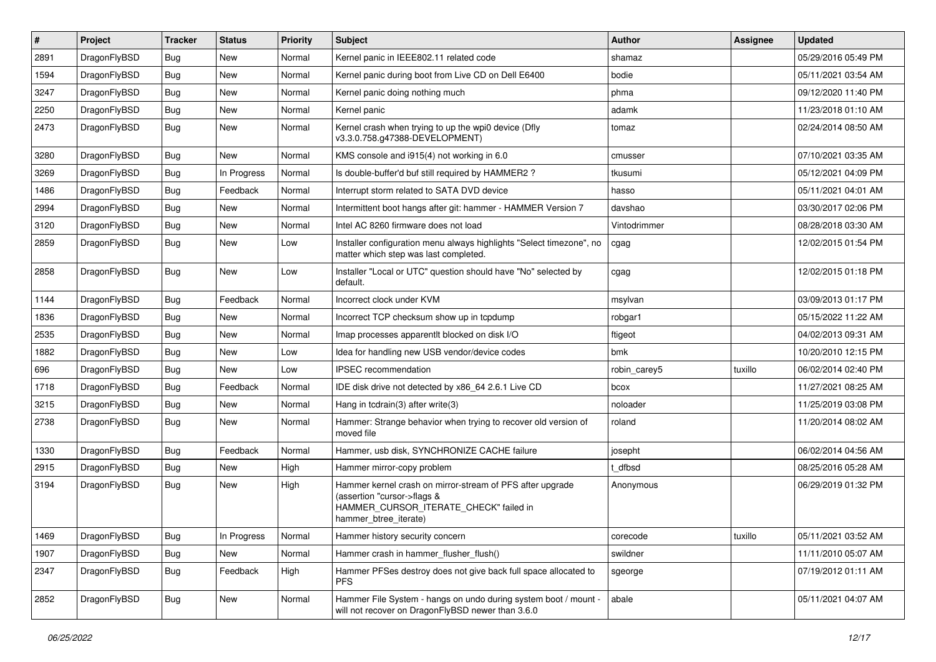| $\#$ | Project      | <b>Tracker</b> | <b>Status</b> | <b>Priority</b> | <b>Subject</b>                                                                                                                                              | <b>Author</b> | <b>Assignee</b> | <b>Updated</b>      |
|------|--------------|----------------|---------------|-----------------|-------------------------------------------------------------------------------------------------------------------------------------------------------------|---------------|-----------------|---------------------|
| 2891 | DragonFlyBSD | Bug            | <b>New</b>    | Normal          | Kernel panic in IEEE802.11 related code                                                                                                                     | shamaz        |                 | 05/29/2016 05:49 PM |
| 1594 | DragonFlyBSD | <b>Bug</b>     | New           | Normal          | Kernel panic during boot from Live CD on Dell E6400                                                                                                         | bodie         |                 | 05/11/2021 03:54 AM |
| 3247 | DragonFlyBSD | Bug            | New           | Normal          | Kernel panic doing nothing much                                                                                                                             | phma          |                 | 09/12/2020 11:40 PM |
| 2250 | DragonFlyBSD | Bug            | New           | Normal          | Kernel panic                                                                                                                                                | adamk         |                 | 11/23/2018 01:10 AM |
| 2473 | DragonFlyBSD | Bug            | New           | Normal          | Kernel crash when trying to up the wpi0 device (Dfly<br>v3.3.0.758.g47388-DEVELOPMENT)                                                                      | tomaz         |                 | 02/24/2014 08:50 AM |
| 3280 | DragonFlyBSD | Bug            | New           | Normal          | KMS console and i915(4) not working in 6.0                                                                                                                  | cmusser       |                 | 07/10/2021 03:35 AM |
| 3269 | DragonFlyBSD | Bug            | In Progress   | Normal          | Is double-buffer'd buf still required by HAMMER2 ?                                                                                                          | tkusumi       |                 | 05/12/2021 04:09 PM |
| 1486 | DragonFlyBSD | Bug            | Feedback      | Normal          | Interrupt storm related to SATA DVD device                                                                                                                  | hasso         |                 | 05/11/2021 04:01 AM |
| 2994 | DragonFlyBSD | Bug            | New           | Normal          | Intermittent boot hangs after git: hammer - HAMMER Version 7                                                                                                | davshao       |                 | 03/30/2017 02:06 PM |
| 3120 | DragonFlyBSD | Bug            | New           | Normal          | Intel AC 8260 firmware does not load                                                                                                                        | Vintodrimmer  |                 | 08/28/2018 03:30 AM |
| 2859 | DragonFlyBSD | Bug            | New           | Low             | Installer configuration menu always highlights "Select timezone", no<br>matter which step was last completed.                                               | cgag          |                 | 12/02/2015 01:54 PM |
| 2858 | DragonFlyBSD | Bug            | New           | Low             | Installer "Local or UTC" question should have "No" selected by<br>default.                                                                                  | cgag          |                 | 12/02/2015 01:18 PM |
| 1144 | DragonFlyBSD | Bug            | Feedback      | Normal          | Incorrect clock under KVM                                                                                                                                   | msylvan       |                 | 03/09/2013 01:17 PM |
| 1836 | DragonFlyBSD | Bug            | New           | Normal          | Incorrect TCP checksum show up in tcpdump                                                                                                                   | robgar1       |                 | 05/15/2022 11:22 AM |
| 2535 | DragonFlyBSD | Bug            | New           | Normal          | Imap processes apparentlt blocked on disk I/O                                                                                                               | ftigeot       |                 | 04/02/2013 09:31 AM |
| 1882 | DragonFlyBSD | Bug            | New           | Low             | Idea for handling new USB vendor/device codes                                                                                                               | bmk           |                 | 10/20/2010 12:15 PM |
| 696  | DragonFlyBSD | Bug            | New           | Low             | <b>IPSEC</b> recommendation                                                                                                                                 | robin_carey5  | tuxillo         | 06/02/2014 02:40 PM |
| 1718 | DragonFlyBSD | Bug            | Feedback      | Normal          | IDE disk drive not detected by x86_64 2.6.1 Live CD                                                                                                         | bcox          |                 | 11/27/2021 08:25 AM |
| 3215 | DragonFlyBSD | <b>Bug</b>     | New           | Normal          | Hang in tcdrain(3) after write(3)                                                                                                                           | noloader      |                 | 11/25/2019 03:08 PM |
| 2738 | DragonFlyBSD | Bug            | New           | Normal          | Hammer: Strange behavior when trying to recover old version of<br>moved file                                                                                | roland        |                 | 11/20/2014 08:02 AM |
| 1330 | DragonFlyBSD | Bug            | Feedback      | Normal          | Hammer, usb disk, SYNCHRONIZE CACHE failure                                                                                                                 | josepht       |                 | 06/02/2014 04:56 AM |
| 2915 | DragonFlyBSD | Bug            | New           | High            | Hammer mirror-copy problem                                                                                                                                  | t dfbsd       |                 | 08/25/2016 05:28 AM |
| 3194 | DragonFlyBSD | Bug            | New           | High            | Hammer kernel crash on mirror-stream of PFS after upgrade<br>(assertion "cursor->flags &<br>HAMMER_CURSOR_ITERATE_CHECK" failed in<br>hammer_btree_iterate) | Anonymous     |                 | 06/29/2019 01:32 PM |
| 1469 | DragonFlyBSD | <b>Bug</b>     | In Progress   | Normal          | Hammer history security concern                                                                                                                             | corecode      | tuxillo         | 05/11/2021 03:52 AM |
| 1907 | DragonFlyBSD | Bug            | New           | Normal          | Hammer crash in hammer_flusher_flush()                                                                                                                      | swildner      |                 | 11/11/2010 05:07 AM |
| 2347 | DragonFlyBSD | <b>Bug</b>     | Feedback      | High            | Hammer PFSes destroy does not give back full space allocated to<br><b>PFS</b>                                                                               | sgeorge       |                 | 07/19/2012 01:11 AM |
| 2852 | DragonFlyBSD | <b>Bug</b>     | New           | Normal          | Hammer File System - hangs on undo during system boot / mount -<br>will not recover on DragonFlyBSD newer than 3.6.0                                        | abale         |                 | 05/11/2021 04:07 AM |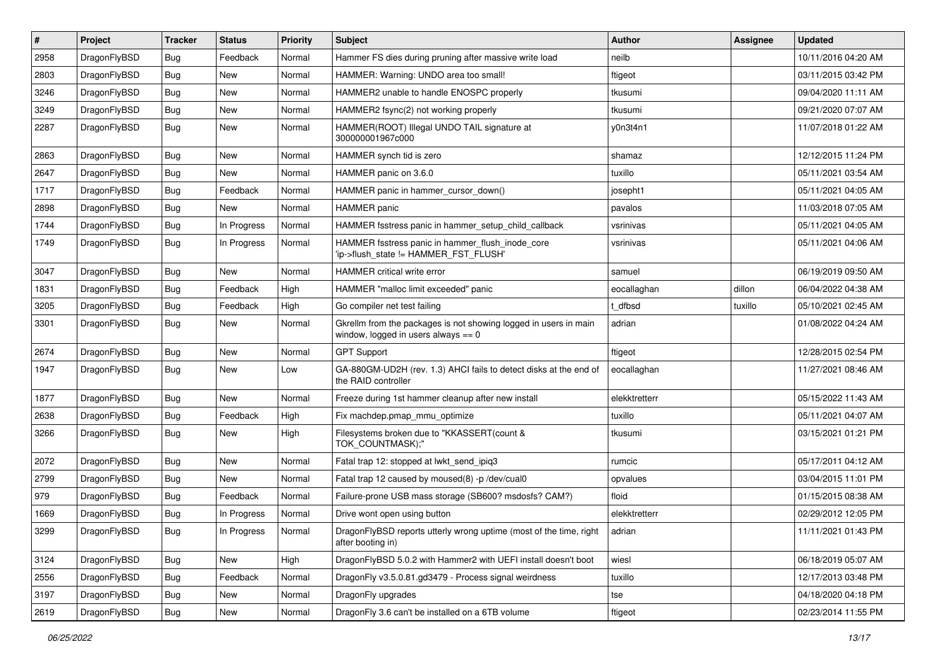| $\pmb{\#}$ | Project      | <b>Tracker</b> | <b>Status</b> | <b>Priority</b> | <b>Subject</b>                                                                                            | Author        | Assignee | <b>Updated</b>      |
|------------|--------------|----------------|---------------|-----------------|-----------------------------------------------------------------------------------------------------------|---------------|----------|---------------------|
| 2958       | DragonFlyBSD | <b>Bug</b>     | Feedback      | Normal          | Hammer FS dies during pruning after massive write load                                                    | neilb         |          | 10/11/2016 04:20 AM |
| 2803       | DragonFlyBSD | <b>Bug</b>     | <b>New</b>    | Normal          | HAMMER: Warning: UNDO area too small!                                                                     | ftigeot       |          | 03/11/2015 03:42 PM |
| 3246       | DragonFlyBSD | <b>Bug</b>     | New           | Normal          | HAMMER2 unable to handle ENOSPC properly                                                                  | tkusumi       |          | 09/04/2020 11:11 AM |
| 3249       | DragonFlyBSD | Bug            | New           | Normal          | HAMMER2 fsync(2) not working properly                                                                     | tkusumi       |          | 09/21/2020 07:07 AM |
| 2287       | DragonFlyBSD | Bug            | New           | Normal          | HAMMER(ROOT) Illegal UNDO TAIL signature at<br>300000001967c000                                           | y0n3t4n1      |          | 11/07/2018 01:22 AM |
| 2863       | DragonFlyBSD | <b>Bug</b>     | <b>New</b>    | Normal          | HAMMER synch tid is zero                                                                                  | shamaz        |          | 12/12/2015 11:24 PM |
| 2647       | DragonFlyBSD | Bug            | New           | Normal          | HAMMER panic on 3.6.0                                                                                     | tuxillo       |          | 05/11/2021 03:54 AM |
| 1717       | DragonFlyBSD | Bug            | Feedback      | Normal          | HAMMER panic in hammer cursor down()                                                                      | josepht1      |          | 05/11/2021 04:05 AM |
| 2898       | DragonFlyBSD | <b>Bug</b>     | New           | Normal          | <b>HAMMER</b> panic                                                                                       | pavalos       |          | 11/03/2018 07:05 AM |
| 1744       | DragonFlyBSD | Bug            | In Progress   | Normal          | HAMMER fsstress panic in hammer setup child callback                                                      | vsrinivas     |          | 05/11/2021 04:05 AM |
| 1749       | DragonFlyBSD | Bug            | In Progress   | Normal          | HAMMER fsstress panic in hammer_flush_inode_core<br>'ip->flush_state != HAMMER_FST_FLUSH'                 | vsrinivas     |          | 05/11/2021 04:06 AM |
| 3047       | DragonFlyBSD | <b>Bug</b>     | New           | Normal          | <b>HAMMER</b> critical write error                                                                        | samuel        |          | 06/19/2019 09:50 AM |
| 1831       | DragonFlyBSD | <b>Bug</b>     | Feedback      | High            | HAMMER "malloc limit exceeded" panic                                                                      | eocallaghan   | dillon   | 06/04/2022 04:38 AM |
| 3205       | DragonFlyBSD | Bug            | Feedback      | High            | Go compiler net test failing                                                                              | t dfbsd       | tuxillo  | 05/10/2021 02:45 AM |
| 3301       | DragonFlyBSD | Bug            | New           | Normal          | Gkrellm from the packages is not showing logged in users in main<br>window, logged in users always $== 0$ | adrian        |          | 01/08/2022 04:24 AM |
| 2674       | DragonFlyBSD | Bug            | <b>New</b>    | Normal          | <b>GPT Support</b>                                                                                        | ftigeot       |          | 12/28/2015 02:54 PM |
| 1947       | DragonFlyBSD | Bug            | New           | Low             | GA-880GM-UD2H (rev. 1.3) AHCI fails to detect disks at the end of<br>the RAID controller                  | eocallaghan   |          | 11/27/2021 08:46 AM |
| 1877       | DragonFlyBSD | <b>Bug</b>     | New           | Normal          | Freeze during 1st hammer cleanup after new install                                                        | elekktretterr |          | 05/15/2022 11:43 AM |
| 2638       | DragonFlyBSD | <b>Bug</b>     | Feedback      | High            | Fix machdep.pmap_mmu_optimize                                                                             | tuxillo       |          | 05/11/2021 04:07 AM |
| 3266       | DragonFlyBSD | Bug            | <b>New</b>    | High            | Filesystems broken due to "KKASSERT(count &<br>TOK_COUNTMASK);"                                           | tkusumi       |          | 03/15/2021 01:21 PM |
| 2072       | DragonFlyBSD | Bug            | <b>New</b>    | Normal          | Fatal trap 12: stopped at lwkt_send_ipiq3                                                                 | rumcic        |          | 05/17/2011 04:12 AM |
| 2799       | DragonFlyBSD | Bug            | New           | Normal          | Fatal trap 12 caused by moused(8) -p /dev/cual0                                                           | opvalues      |          | 03/04/2015 11:01 PM |
| 979        | DragonFlyBSD | Bug            | Feedback      | Normal          | Failure-prone USB mass storage (SB600? msdosfs? CAM?)                                                     | floid         |          | 01/15/2015 08:38 AM |
| 1669       | DragonFlyBSD | <b>Bug</b>     | In Progress   | Normal          | Drive wont open using button                                                                              | elekktretterr |          | 02/29/2012 12:05 PM |
| 3299       | DragonFlyBSD | <b>Bug</b>     | In Progress   | Normal          | DragonFlyBSD reports utterly wrong uptime (most of the time, right<br>after booting in)                   | adrian        |          | 11/11/2021 01:43 PM |
| 3124       | DragonFlyBSD | Bug            | New           | High            | DragonFlyBSD 5.0.2 with Hammer2 with UEFI install doesn't boot                                            | wiesl         |          | 06/18/2019 05:07 AM |
| 2556       | DragonFlyBSD | <b>Bug</b>     | Feedback      | Normal          | DragonFly v3.5.0.81.gd3479 - Process signal weirdness                                                     | tuxillo       |          | 12/17/2013 03:48 PM |
| 3197       | DragonFlyBSD | <b>Bug</b>     | New           | Normal          | DragonFly upgrades                                                                                        | tse           |          | 04/18/2020 04:18 PM |
| 2619       | DragonFlyBSD | Bug            | New           | Normal          | DragonFly 3.6 can't be installed on a 6TB volume                                                          | ftigeot       |          | 02/23/2014 11:55 PM |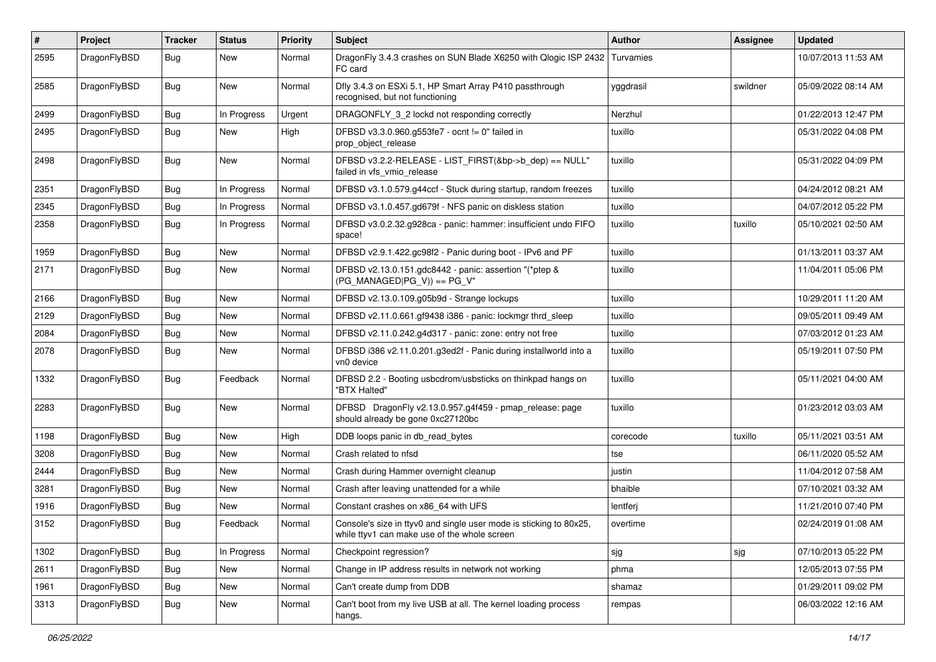| #    | Project      | <b>Tracker</b> | <b>Status</b> | <b>Priority</b> | Subject                                                                                                            | <b>Author</b> | Assignee | <b>Updated</b>      |
|------|--------------|----------------|---------------|-----------------|--------------------------------------------------------------------------------------------------------------------|---------------|----------|---------------------|
| 2595 | DragonFlyBSD | Bug            | New           | Normal          | DragonFly 3.4.3 crashes on SUN Blade X6250 with Qlogic ISP 2432   Turvamies<br>FC card                             |               |          | 10/07/2013 11:53 AM |
| 2585 | DragonFlyBSD | Bug            | <b>New</b>    | Normal          | Dfly 3.4.3 on ESXi 5.1, HP Smart Array P410 passthrough<br>recognised, but not functioning                         | yggdrasil     | swildner | 05/09/2022 08:14 AM |
| 2499 | DragonFlyBSD | Bug            | In Progress   | Urgent          | DRAGONFLY_3_2 lockd not responding correctly                                                                       | Nerzhul       |          | 01/22/2013 12:47 PM |
| 2495 | DragonFlyBSD | <b>Bug</b>     | New           | High            | DFBSD v3.3.0.960.g553fe7 - ocnt != 0" failed in<br>prop_object_release                                             | tuxillo       |          | 05/31/2022 04:08 PM |
| 2498 | DragonFlyBSD | <b>Bug</b>     | <b>New</b>    | Normal          | DFBSD v3.2.2-RELEASE - LIST_FIRST(&bp->b_dep) == NULL"<br>failed in vfs vmio release                               | tuxillo       |          | 05/31/2022 04:09 PM |
| 2351 | DragonFlyBSD | Bug            | In Progress   | Normal          | DFBSD v3.1.0.579.g44ccf - Stuck during startup, random freezes                                                     | tuxillo       |          | 04/24/2012 08:21 AM |
| 2345 | DragonFlyBSD | Bug            | In Progress   | Normal          | DFBSD v3.1.0.457.gd679f - NFS panic on diskless station                                                            | tuxillo       |          | 04/07/2012 05:22 PM |
| 2358 | DragonFlyBSD | Bug            | In Progress   | Normal          | DFBSD v3.0.2.32.g928ca - panic: hammer: insufficient undo FIFO<br>space!                                           | tuxillo       | tuxillo  | 05/10/2021 02:50 AM |
| 1959 | DragonFlyBSD | Bug            | <b>New</b>    | Normal          | DFBSD v2.9.1.422.gc98f2 - Panic during boot - IPv6 and PF                                                          | tuxillo       |          | 01/13/2011 03:37 AM |
| 2171 | DragonFlyBSD | Bug            | New           | Normal          | DFBSD v2.13.0.151.gdc8442 - panic: assertion "(*ptep &<br>$(PG MANAGED PG V)) == PG V"$                            | tuxillo       |          | 11/04/2011 05:06 PM |
| 2166 | DragonFlyBSD | Bug            | <b>New</b>    | Normal          | DFBSD v2.13.0.109.g05b9d - Strange lockups                                                                         | tuxillo       |          | 10/29/2011 11:20 AM |
| 2129 | DragonFlyBSD | Bug            | <b>New</b>    | Normal          | DFBSD v2.11.0.661.gf9438 i386 - panic: lockmgr thrd sleep                                                          | tuxillo       |          | 09/05/2011 09:49 AM |
| 2084 | DragonFlyBSD | Bug            | New           | Normal          | DFBSD v2.11.0.242.g4d317 - panic: zone: entry not free                                                             | tuxillo       |          | 07/03/2012 01:23 AM |
| 2078 | DragonFlyBSD | Bug            | New           | Normal          | DFBSD i386 v2.11.0.201.g3ed2f - Panic during installworld into a<br>vn0 device                                     | tuxillo       |          | 05/19/2011 07:50 PM |
| 1332 | DragonFlyBSD | Bug            | Feedback      | Normal          | DFBSD 2.2 - Booting usbcdrom/usbsticks on thinkpad hangs on<br>"BTX Halted"                                        | tuxillo       |          | 05/11/2021 04:00 AM |
| 2283 | DragonFlyBSD | Bug            | <b>New</b>    | Normal          | DFBSD DragonFly v2.13.0.957.g4f459 - pmap_release: page<br>should already be gone 0xc27120bc                       | tuxillo       |          | 01/23/2012 03:03 AM |
| 1198 | DragonFlyBSD | Bug            | New           | High            | DDB loops panic in db_read_bytes                                                                                   | corecode      | tuxillo  | 05/11/2021 03:51 AM |
| 3208 | DragonFlyBSD | Bug            | <b>New</b>    | Normal          | Crash related to nfsd                                                                                              | tse           |          | 06/11/2020 05:52 AM |
| 2444 | DragonFlyBSD | Bug            | New           | Normal          | Crash during Hammer overnight cleanup                                                                              | justin        |          | 11/04/2012 07:58 AM |
| 3281 | DragonFlyBSD | Bug            | <b>New</b>    | Normal          | Crash after leaving unattended for a while                                                                         | bhaible       |          | 07/10/2021 03:32 AM |
| 1916 | DragonFlyBSD | <b>Bug</b>     | New           | Normal          | Constant crashes on x86_64 with UFS                                                                                | lentferj      |          | 11/21/2010 07:40 PM |
| 3152 | DragonFlyBSD | Bug            | Feedback      | Normal          | Console's size in ttyv0 and single user mode is sticking to 80x25.<br>while ttyv1 can make use of the whole screen | overtime      |          | 02/24/2019 01:08 AM |
| 1302 | DragonFlyBSD | <b>Bug</b>     | In Progress   | Normal          | Checkpoint regression?                                                                                             | sjg           | sjg      | 07/10/2013 05:22 PM |
| 2611 | DragonFlyBSD | Bug            | New           | Normal          | Change in IP address results in network not working                                                                | phma          |          | 12/05/2013 07:55 PM |
| 1961 | DragonFlyBSD | <b>Bug</b>     | New           | Normal          | Can't create dump from DDB                                                                                         | shamaz        |          | 01/29/2011 09:02 PM |
| 3313 | DragonFlyBSD | <b>Bug</b>     | New           | Normal          | Can't boot from my live USB at all. The kernel loading process<br>hangs.                                           | rempas        |          | 06/03/2022 12:16 AM |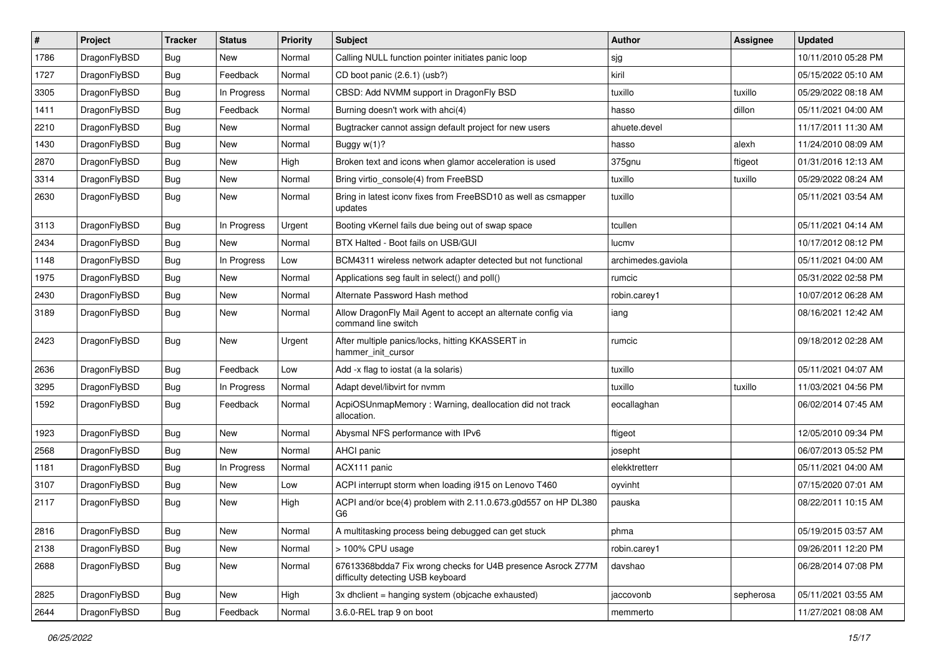| $\sharp$ | Project      | <b>Tracker</b> | <b>Status</b> | <b>Priority</b> | Subject                                                                                          | <b>Author</b>      | Assignee  | <b>Updated</b>      |
|----------|--------------|----------------|---------------|-----------------|--------------------------------------------------------------------------------------------------|--------------------|-----------|---------------------|
| 1786     | DragonFlyBSD | <b>Bug</b>     | New           | Normal          | Calling NULL function pointer initiates panic loop                                               | sjg                |           | 10/11/2010 05:28 PM |
| 1727     | DragonFlyBSD | Bug            | Feedback      | Normal          | CD boot panic (2.6.1) (usb?)                                                                     | kiril              |           | 05/15/2022 05:10 AM |
| 3305     | DragonFlyBSD | <b>Bug</b>     | In Progress   | Normal          | CBSD: Add NVMM support in DragonFly BSD                                                          | tuxillo            | tuxillo   | 05/29/2022 08:18 AM |
| 1411     | DragonFlyBSD | Bug            | Feedback      | Normal          | Burning doesn't work with ahci(4)                                                                | hasso              | dillon    | 05/11/2021 04:00 AM |
| 2210     | DragonFlyBSD | <b>Bug</b>     | <b>New</b>    | Normal          | Bugtracker cannot assign default project for new users                                           | ahuete.devel       |           | 11/17/2011 11:30 AM |
| 1430     | DragonFlyBSD | <b>Bug</b>     | <b>New</b>    | Normal          | Buggy w(1)?                                                                                      | hasso              | alexh     | 11/24/2010 08:09 AM |
| 2870     | DragonFlyBSD | <b>Bug</b>     | New           | High            | Broken text and icons when glamor acceleration is used                                           | 375gnu             | ftigeot   | 01/31/2016 12:13 AM |
| 3314     | DragonFlyBSD | Bug            | <b>New</b>    | Normal          | Bring virtio_console(4) from FreeBSD                                                             | tuxillo            | tuxillo   | 05/29/2022 08:24 AM |
| 2630     | DragonFlyBSD | <b>Bug</b>     | <b>New</b>    | Normal          | Bring in latest iconv fixes from FreeBSD10 as well as csmapper<br>updates                        | tuxillo            |           | 05/11/2021 03:54 AM |
| 3113     | DragonFlyBSD | <b>Bug</b>     | In Progress   | Urgent          | Booting vKernel fails due being out of swap space                                                | tcullen            |           | 05/11/2021 04:14 AM |
| 2434     | DragonFlyBSD | <b>Bug</b>     | <b>New</b>    | Normal          | BTX Halted - Boot fails on USB/GUI                                                               | lucmv              |           | 10/17/2012 08:12 PM |
| 1148     | DragonFlyBSD | <b>Bug</b>     | In Progress   | Low             | BCM4311 wireless network adapter detected but not functional                                     | archimedes.gaviola |           | 05/11/2021 04:00 AM |
| 1975     | DragonFlyBSD | <b>Bug</b>     | <b>New</b>    | Normal          | Applications seg fault in select() and poll()                                                    | rumcic             |           | 05/31/2022 02:58 PM |
| 2430     | DragonFlyBSD | <b>Bug</b>     | New           | Normal          | Alternate Password Hash method                                                                   | robin.carey1       |           | 10/07/2012 06:28 AM |
| 3189     | DragonFlyBSD | Bug            | <b>New</b>    | Normal          | Allow DragonFly Mail Agent to accept an alternate config via<br>command line switch              | iang               |           | 08/16/2021 12:42 AM |
| 2423     | DragonFlyBSD | <b>Bug</b>     | New           | Urgent          | After multiple panics/locks, hitting KKASSERT in<br>hammer init cursor                           | rumcic             |           | 09/18/2012 02:28 AM |
| 2636     | DragonFlyBSD | Bug            | Feedback      | Low             | Add -x flag to iostat (a la solaris)                                                             | tuxillo            |           | 05/11/2021 04:07 AM |
| 3295     | DragonFlyBSD | <b>Bug</b>     | In Progress   | Normal          | Adapt devel/libvirt for nvmm                                                                     | tuxillo            | tuxillo   | 11/03/2021 04:56 PM |
| 1592     | DragonFlyBSD | <b>Bug</b>     | Feedback      | Normal          | AcpiOSUnmapMemory: Warning, deallocation did not track<br>allocation.                            | eocallaghan        |           | 06/02/2014 07:45 AM |
| 1923     | DragonFlyBSD | Bug            | <b>New</b>    | Normal          | Abysmal NFS performance with IPv6                                                                | ftigeot            |           | 12/05/2010 09:34 PM |
| 2568     | DragonFlyBSD | <b>Bug</b>     | New           | Normal          | AHCI panic                                                                                       | josepht            |           | 06/07/2013 05:52 PM |
| 1181     | DragonFlyBSD | Bug            | In Progress   | Normal          | ACX111 panic                                                                                     | elekktretterr      |           | 05/11/2021 04:00 AM |
| 3107     | DragonFlyBSD | Bug            | New           | Low             | ACPI interrupt storm when loading i915 on Lenovo T460                                            | oyvinht            |           | 07/15/2020 07:01 AM |
| 2117     | DragonFlyBSD | Bug            | <b>New</b>    | High            | ACPI and/or bce(4) problem with 2.11.0.673.g0d557 on HP DL380<br>G6                              | pauska             |           | 08/22/2011 10:15 AM |
| 2816     | DragonFlyBSD | <b>Bug</b>     | New           | Normal          | A multitasking process being debugged can get stuck                                              | phma               |           | 05/19/2015 03:57 AM |
| 2138     | DragonFlyBSD | <b>Bug</b>     | New           | Normal          | > 100% CPU usage                                                                                 | robin.carey1       |           | 09/26/2011 12:20 PM |
| 2688     | DragonFlyBSD | <b>Bug</b>     | New           | Normal          | 67613368bdda7 Fix wrong checks for U4B presence Asrock Z77M<br>difficulty detecting USB keyboard | davshao            |           | 06/28/2014 07:08 PM |
| 2825     | DragonFlyBSD | <b>Bug</b>     | New           | High            | 3x dhclient = hanging system (objcache exhausted)                                                | jaccovonb          | sepherosa | 05/11/2021 03:55 AM |
| 2644     | DragonFlyBSD | <b>Bug</b>     | Feedback      | Normal          | 3.6.0-REL trap 9 on boot                                                                         | memmerto           |           | 11/27/2021 08:08 AM |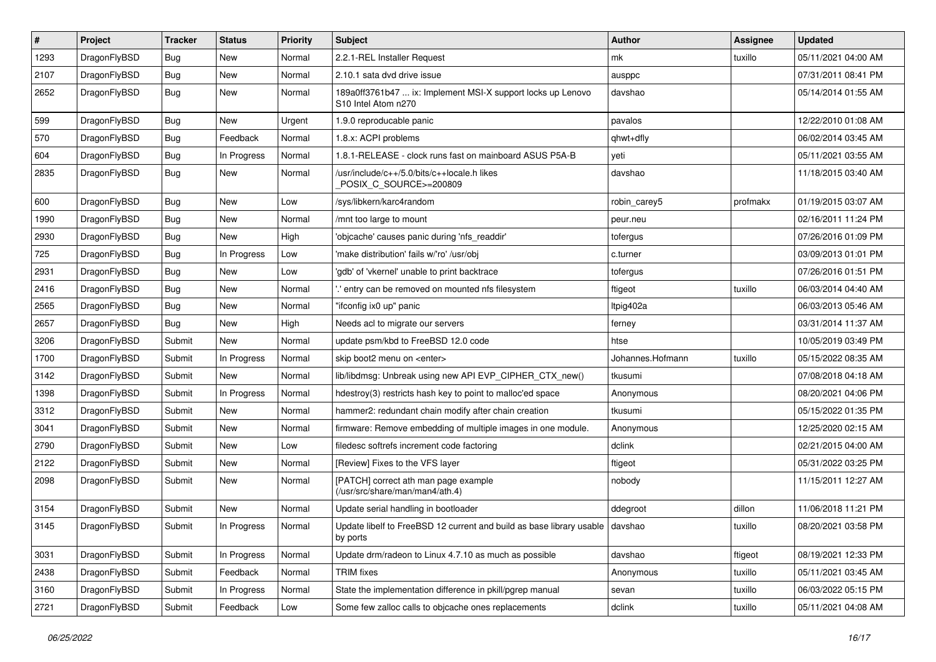| $\sharp$ | Project      | <b>Tracker</b> | <b>Status</b> | <b>Priority</b> | Subject                                                                                                    | <b>Author</b>    | <b>Assignee</b> | <b>Updated</b>      |
|----------|--------------|----------------|---------------|-----------------|------------------------------------------------------------------------------------------------------------|------------------|-----------------|---------------------|
| 1293     | DragonFlyBSD | <b>Bug</b>     | <b>New</b>    | Normal          | 2.2.1-REL Installer Request                                                                                | mk               | tuxillo         | 05/11/2021 04:00 AM |
| 2107     | DragonFlyBSD | Bug            | <b>New</b>    | Normal          | 2.10.1 sata dvd drive issue                                                                                | ausppc           |                 | 07/31/2011 08:41 PM |
| 2652     | DragonFlyBSD | <b>Bug</b>     | <b>New</b>    | Normal          | 189a0ff3761b47  ix: Implement MSI-X support locks up Lenovo<br>S <sub>10</sub> Intel Atom n <sub>270</sub> | davshao          |                 | 05/14/2014 01:55 AM |
| 599      | DragonFlyBSD | Bug            | <b>New</b>    | Urgent          | 1.9.0 reproducable panic                                                                                   | pavalos          |                 | 12/22/2010 01:08 AM |
| 570      | DragonFlyBSD | <b>Bug</b>     | Feedback      | Normal          | 1.8.x: ACPI problems                                                                                       | qhwt+dfly        |                 | 06/02/2014 03:45 AM |
| 604      | DragonFlyBSD | Bug            | In Progress   | Normal          | 1.8.1-RELEASE - clock runs fast on mainboard ASUS P5A-B                                                    | yeti             |                 | 05/11/2021 03:55 AM |
| 2835     | DragonFlyBSD | Bug            | New           | Normal          | /usr/include/c++/5.0/bits/c++locale.h likes<br>POSIX_C_SOURCE>=200809                                      | davshao          |                 | 11/18/2015 03:40 AM |
| 600      | DragonFlyBSD | Bug            | <b>New</b>    | Low             | /sys/libkern/karc4random                                                                                   | robin_carey5     | profmakx        | 01/19/2015 03:07 AM |
| 1990     | DragonFlyBSD | <b>Bug</b>     | New           | Normal          | /mnt too large to mount                                                                                    | peur.neu         |                 | 02/16/2011 11:24 PM |
| 2930     | DragonFlyBSD | <b>Bug</b>     | <b>New</b>    | High            | 'objcache' causes panic during 'nfs_readdir'                                                               | tofergus         |                 | 07/26/2016 01:09 PM |
| 725      | DragonFlyBSD | Bug            | In Progress   | Low             | 'make distribution' fails w/'ro' /usr/obj                                                                  | c.turner         |                 | 03/09/2013 01:01 PM |
| 2931     | DragonFlyBSD | Bug            | New           | Low             | 'gdb' of 'vkernel' unable to print backtrace                                                               | tofergus         |                 | 07/26/2016 01:51 PM |
| 2416     | DragonFlyBSD | Bug            | <b>New</b>    | Normal          | ".' entry can be removed on mounted nfs filesystem                                                         | ftigeot          | tuxillo         | 06/03/2014 04:40 AM |
| 2565     | DragonFlyBSD | Bug            | <b>New</b>    | Normal          | "ifconfig ix0 up" panic                                                                                    | Itpig402a        |                 | 06/03/2013 05:46 AM |
| 2657     | DragonFlyBSD | Bug            | New           | High            | Needs acl to migrate our servers                                                                           | ferney           |                 | 03/31/2014 11:37 AM |
| 3206     | DragonFlyBSD | Submit         | <b>New</b>    | Normal          | update psm/kbd to FreeBSD 12.0 code                                                                        | htse             |                 | 10/05/2019 03:49 PM |
| 1700     | DragonFlyBSD | Submit         | In Progress   | Normal          | skip boot2 menu on <enter></enter>                                                                         | Johannes.Hofmann | tuxillo         | 05/15/2022 08:35 AM |
| 3142     | DragonFlyBSD | Submit         | <b>New</b>    | Normal          | lib/libdmsg: Unbreak using new API EVP_CIPHER_CTX_new()                                                    | tkusumi          |                 | 07/08/2018 04:18 AM |
| 1398     | DragonFlyBSD | Submit         | In Progress   | Normal          | hdestroy(3) restricts hash key to point to malloc'ed space                                                 | Anonymous        |                 | 08/20/2021 04:06 PM |
| 3312     | DragonFlyBSD | Submit         | <b>New</b>    | Normal          | hammer2: redundant chain modify after chain creation                                                       | tkusumi          |                 | 05/15/2022 01:35 PM |
| 3041     | DragonFlyBSD | Submit         | New           | Normal          | firmware: Remove embedding of multiple images in one module.                                               | Anonymous        |                 | 12/25/2020 02:15 AM |
| 2790     | DragonFlyBSD | Submit         | New           | Low             | filedesc softrefs increment code factoring                                                                 | dclink           |                 | 02/21/2015 04:00 AM |
| 2122     | DragonFlyBSD | Submit         | <b>New</b>    | Normal          | [Review] Fixes to the VFS layer                                                                            | ftigeot          |                 | 05/31/2022 03:25 PM |
| 2098     | DragonFlyBSD | Submit         | New           | Normal          | [PATCH] correct ath man page example<br>(/usr/src/share/man/man4/ath.4)                                    | nobody           |                 | 11/15/2011 12:27 AM |
| 3154     | DragonFlyBSD | Submit         | New           | Normal          | Update serial handling in bootloader                                                                       | ddegroot         | dillon          | 11/06/2018 11:21 PM |
| 3145     | DragonFlyBSD | Submit         | In Progress   | Normal          | Update libelf to FreeBSD 12 current and build as base library usable<br>by ports                           | davshao          | tuxillo         | 08/20/2021 03:58 PM |
| 3031     | DragonFlyBSD | Submit         | In Progress   | Normal          | Update drm/radeon to Linux 4.7.10 as much as possible                                                      | davshao          | ftigeot         | 08/19/2021 12:33 PM |
| 2438     | DragonFlyBSD | Submit         | Feedback      | Normal          | <b>TRIM</b> fixes                                                                                          | Anonymous        | tuxillo         | 05/11/2021 03:45 AM |
| 3160     | DragonFlyBSD | Submit         | In Progress   | Normal          | State the implementation difference in pkill/pgrep manual                                                  | sevan            | tuxillo         | 06/03/2022 05:15 PM |
| 2721     | DragonFlyBSD | Submit         | Feedback      | Low             | Some few zalloc calls to objcache ones replacements                                                        | dclink           | tuxillo         | 05/11/2021 04:08 AM |